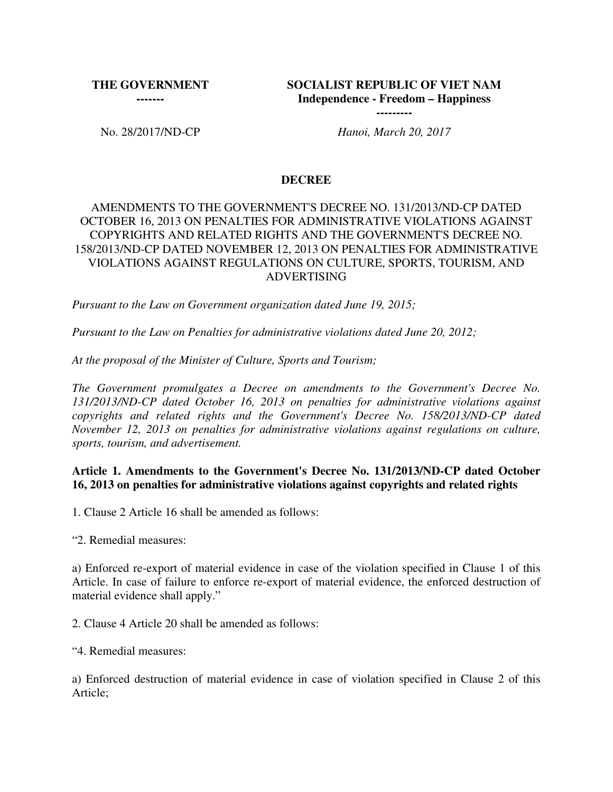**THE GOVERNMENT -------**

**SOCIALIST REPUBLIC OF VIET NAM Independence - Freedom – Happiness ---------**

No. 28/2017/ND-CP *Hanoi, March 20, 2017*

#### **DECREE**

## AMENDMENTS TO THE GOVERNMENT'S DECREE NO. 131/2013/ND-CP DATED OCTOBER 16, 2013 ON PENALTIES FOR ADMINISTRATIVE VIOLATIONS AGAINST COPYRIGHTS AND RELATED RIGHTS AND THE GOVERNMENT'S DECREE NO. 158/2013/ND-CP DATED NOVEMBER 12, 2013 ON PENALTIES FOR ADMINISTRATIVE VIOLATIONS AGAINST REGULATIONS ON CULTURE, SPORTS, TOURISM, AND ADVERTISING

*Pursuant to the Law on Government organization dated June 19, 2015;*

*Pursuant to the Law on Penalties for administrative violations dated June 20, 2012;* 

*At the proposal of the Minister of Culture, Sports and Tourism;*

*The Government promulgates a Decree on amendments to the Government's Decree No. 131/2013/ND-CP dated October 16, 2013 on penalties for administrative violations against copyrights and related rights and the Government's Decree No. 158/2013/ND-CP dated November 12, 2013 on penalties for administrative violations against regulations on culture, sports, tourism, and advertisement.*

### **Article 1. Amendments to the Government's Decree No. 131/2013/ND-CP dated October 16, 2013 on penalties for administrative violations against copyrights and related rights**

1. Clause 2 Article 16 shall be amended as follows:

"2. Remedial measures:

a) Enforced re-export of material evidence in case of the violation specified in Clause 1 of this Article. In case of failure to enforce re-export of material evidence, the enforced destruction of material evidence shall apply."

2. Clause 4 Article 20 shall be amended as follows:

"4. Remedial measures:

a) Enforced destruction of material evidence in case of violation specified in Clause 2 of this Article;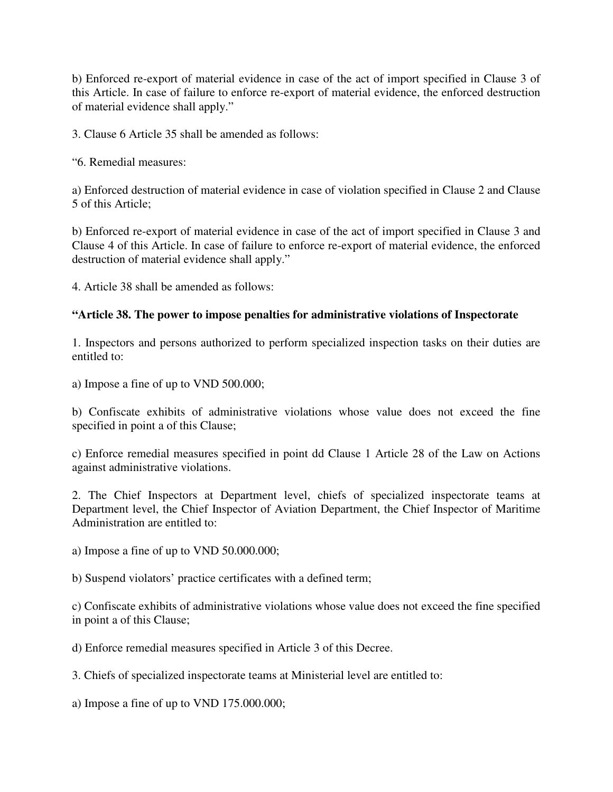b) Enforced re-export of material evidence in case of the act of import specified in Clause 3 of this Article. In case of failure to enforce re-export of material evidence, the enforced destruction of material evidence shall apply."

3. Clause 6 Article 35 shall be amended as follows:

"6. Remedial measures:

a) Enforced destruction of material evidence in case of violation specified in Clause 2 and Clause 5 of this Article;

b) Enforced re-export of material evidence in case of the act of import specified in Clause 3 and Clause 4 of this Article. In case of failure to enforce re-export of material evidence, the enforced destruction of material evidence shall apply."

4. Article 38 shall be amended as follows:

### **"Article 38. The power to impose penalties for administrative violations of Inspectorate**

1. Inspectors and persons authorized to perform specialized inspection tasks on their duties are entitled to:

a) Impose a fine of up to VND 500.000;

b) Confiscate exhibits of administrative violations whose value does not exceed the fine specified in point a of this Clause;

c) Enforce remedial measures specified in point dd Clause 1 Article 28 of the Law on Actions against administrative violations.

2. The Chief Inspectors at Department level, chiefs of specialized inspectorate teams at Department level, the Chief Inspector of Aviation Department, the Chief Inspector of Maritime Administration are entitled to:

a) Impose a fine of up to VND 50.000.000;

b) Suspend violators' practice certificates with a defined term;

c) Confiscate exhibits of administrative violations whose value does not exceed the fine specified in point a of this Clause;

d) Enforce remedial measures specified in Article 3 of this Decree.

3. Chiefs of specialized inspectorate teams at Ministerial level are entitled to:

a) Impose a fine of up to VND 175.000.000;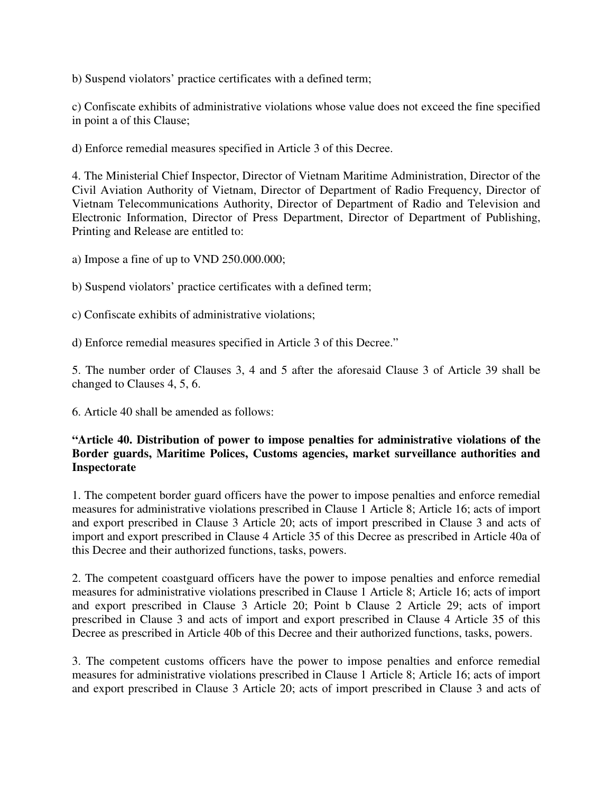b) Suspend violators' practice certificates with a defined term;

c) Confiscate exhibits of administrative violations whose value does not exceed the fine specified in point a of this Clause;

d) Enforce remedial measures specified in Article 3 of this Decree.

4. The Ministerial Chief Inspector, Director of Vietnam Maritime Administration, Director of the Civil Aviation Authority of Vietnam, Director of Department of Radio Frequency, Director of Vietnam Telecommunications Authority, Director of Department of Radio and Television and Electronic Information, Director of Press Department, Director of Department of Publishing, Printing and Release are entitled to:

a) Impose a fine of up to VND 250.000.000;

b) Suspend violators' practice certificates with a defined term;

c) Confiscate exhibits of administrative violations;

d) Enforce remedial measures specified in Article 3 of this Decree."

5. The number order of Clauses 3, 4 and 5 after the aforesaid Clause 3 of Article 39 shall be changed to Clauses 4, 5, 6.

6. Article 40 shall be amended as follows:

### **"Article 40. Distribution of power to impose penalties for administrative violations of the Border guards, Maritime Polices, Customs agencies, market surveillance authorities and Inspectorate**

1. The competent border guard officers have the power to impose penalties and enforce remedial measures for administrative violations prescribed in Clause 1 Article 8; Article 16; acts of import and export prescribed in Clause 3 Article 20; acts of import prescribed in Clause 3 and acts of import and export prescribed in Clause 4 Article 35 of this Decree as prescribed in Article 40a of this Decree and their authorized functions, tasks, powers.

2. The competent coastguard officers have the power to impose penalties and enforce remedial measures for administrative violations prescribed in Clause 1 Article 8; Article 16; acts of import and export prescribed in Clause 3 Article 20; Point b Clause 2 Article 29; acts of import prescribed in Clause 3 and acts of import and export prescribed in Clause 4 Article 35 of this Decree as prescribed in Article 40b of this Decree and their authorized functions, tasks, powers.

3. The competent customs officers have the power to impose penalties and enforce remedial measures for administrative violations prescribed in Clause 1 Article 8; Article 16; acts of import and export prescribed in Clause 3 Article 20; acts of import prescribed in Clause 3 and acts of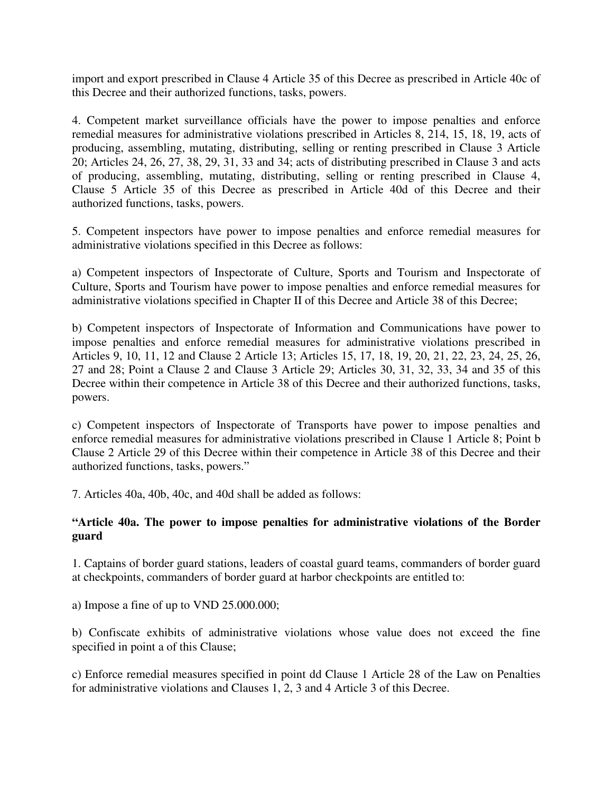import and export prescribed in Clause 4 Article 35 of this Decree as prescribed in Article 40c of this Decree and their authorized functions, tasks, powers.

4. Competent market surveillance officials have the power to impose penalties and enforce remedial measures for administrative violations prescribed in Articles 8, 214, 15, 18, 19, acts of producing, assembling, mutating, distributing, selling or renting prescribed in Clause 3 Article 20; Articles 24, 26, 27, 38, 29, 31, 33 and 34; acts of distributing prescribed in Clause 3 and acts of producing, assembling, mutating, distributing, selling or renting prescribed in Clause 4, Clause 5 Article 35 of this Decree as prescribed in Article 40d of this Decree and their authorized functions, tasks, powers.

5. Competent inspectors have power to impose penalties and enforce remedial measures for administrative violations specified in this Decree as follows:

a) Competent inspectors of Inspectorate of Culture, Sports and Tourism and Inspectorate of Culture, Sports and Tourism have power to impose penalties and enforce remedial measures for administrative violations specified in Chapter II of this Decree and Article 38 of this Decree;

b) Competent inspectors of Inspectorate of Information and Communications have power to impose penalties and enforce remedial measures for administrative violations prescribed in Articles 9, 10, 11, 12 and Clause 2 Article 13; Articles 15, 17, 18, 19, 20, 21, 22, 23, 24, 25, 26, 27 and 28; Point a Clause 2 and Clause 3 Article 29; Articles 30, 31, 32, 33, 34 and 35 of this Decree within their competence in Article 38 of this Decree and their authorized functions, tasks, powers.

c) Competent inspectors of Inspectorate of Transports have power to impose penalties and enforce remedial measures for administrative violations prescribed in Clause 1 Article 8; Point b Clause 2 Article 29 of this Decree within their competence in Article 38 of this Decree and their authorized functions, tasks, powers."

7. Articles 40a, 40b, 40c, and 40d shall be added as follows:

## **"Article 40a. The power to impose penalties for administrative violations of the Border guard**

1. Captains of border guard stations, leaders of coastal guard teams, commanders of border guard at checkpoints, commanders of border guard at harbor checkpoints are entitled to:

a) Impose a fine of up to VND 25.000.000;

b) Confiscate exhibits of administrative violations whose value does not exceed the fine specified in point a of this Clause;

c) Enforce remedial measures specified in point dd Clause 1 Article 28 of the Law on Penalties for administrative violations and Clauses 1, 2, 3 and 4 Article 3 of this Decree.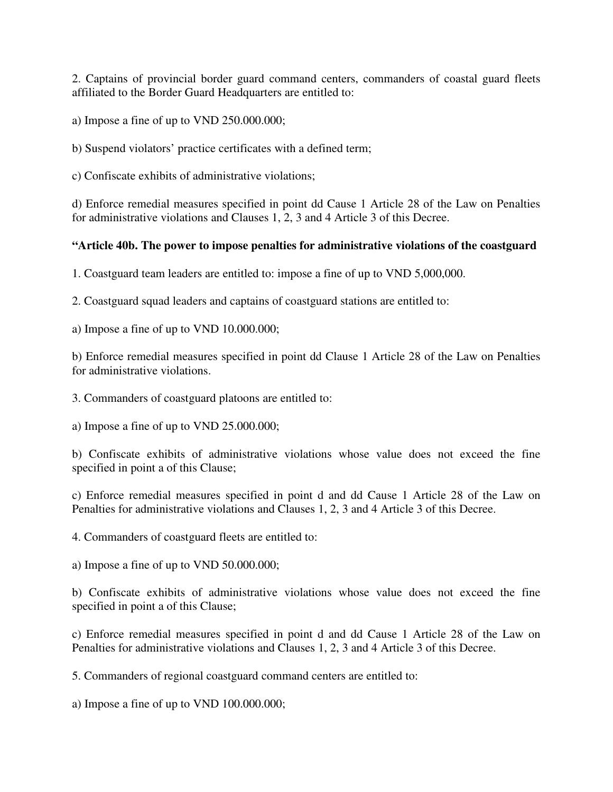2. Captains of provincial border guard command centers, commanders of coastal guard fleets affiliated to the Border Guard Headquarters are entitled to:

a) Impose a fine of up to VND 250.000.000;

b) Suspend violators' practice certificates with a defined term;

c) Confiscate exhibits of administrative violations;

d) Enforce remedial measures specified in point dd Cause 1 Article 28 of the Law on Penalties for administrative violations and Clauses 1, 2, 3 and 4 Article 3 of this Decree.

### **"Article 40b. The power to impose penalties for administrative violations of the coastguard**

1. Coastguard team leaders are entitled to: impose a fine of up to VND 5,000,000.

2. Coastguard squad leaders and captains of coastguard stations are entitled to:

a) Impose a fine of up to VND 10.000.000;

b) Enforce remedial measures specified in point dd Clause 1 Article 28 of the Law on Penalties for administrative violations.

3. Commanders of coastguard platoons are entitled to:

a) Impose a fine of up to VND 25.000.000;

b) Confiscate exhibits of administrative violations whose value does not exceed the fine specified in point a of this Clause;

c) Enforce remedial measures specified in point d and dd Cause 1 Article 28 of the Law on Penalties for administrative violations and Clauses 1, 2, 3 and 4 Article 3 of this Decree.

4. Commanders of coastguard fleets are entitled to:

a) Impose a fine of up to VND 50.000.000;

b) Confiscate exhibits of administrative violations whose value does not exceed the fine specified in point a of this Clause;

c) Enforce remedial measures specified in point d and dd Cause 1 Article 28 of the Law on Penalties for administrative violations and Clauses 1, 2, 3 and 4 Article 3 of this Decree.

5. Commanders of regional coastguard command centers are entitled to:

a) Impose a fine of up to VND 100.000.000;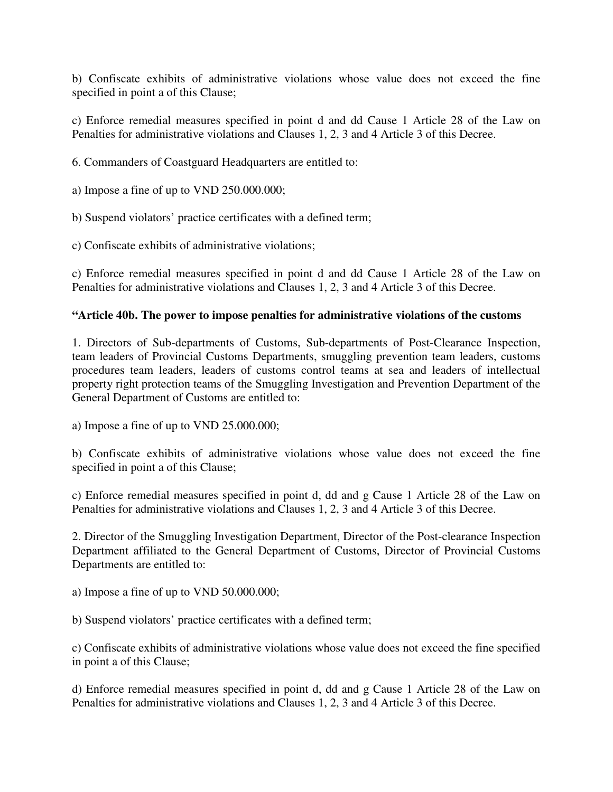b) Confiscate exhibits of administrative violations whose value does not exceed the fine specified in point a of this Clause;

c) Enforce remedial measures specified in point d and dd Cause 1 Article 28 of the Law on Penalties for administrative violations and Clauses 1, 2, 3 and 4 Article 3 of this Decree.

6. Commanders of Coastguard Headquarters are entitled to:

a) Impose a fine of up to VND 250.000.000;

b) Suspend violators' practice certificates with a defined term;

c) Confiscate exhibits of administrative violations;

c) Enforce remedial measures specified in point d and dd Cause 1 Article 28 of the Law on Penalties for administrative violations and Clauses 1, 2, 3 and 4 Article 3 of this Decree.

#### **"Article 40b. The power to impose penalties for administrative violations of the customs**

1. Directors of Sub-departments of Customs, Sub-departments of Post-Clearance Inspection, team leaders of Provincial Customs Departments, smuggling prevention team leaders, customs procedures team leaders, leaders of customs control teams at sea and leaders of intellectual property right protection teams of the Smuggling Investigation and Prevention Department of the General Department of Customs are entitled to:

a) Impose a fine of up to VND 25.000.000;

b) Confiscate exhibits of administrative violations whose value does not exceed the fine specified in point a of this Clause;

c) Enforce remedial measures specified in point d, dd and g Cause 1 Article 28 of the Law on Penalties for administrative violations and Clauses 1, 2, 3 and 4 Article 3 of this Decree.

2. Director of the Smuggling Investigation Department, Director of the Post-clearance Inspection Department affiliated to the General Department of Customs, Director of Provincial Customs Departments are entitled to:

a) Impose a fine of up to VND 50.000.000;

b) Suspend violators' practice certificates with a defined term;

c) Confiscate exhibits of administrative violations whose value does not exceed the fine specified in point a of this Clause;

d) Enforce remedial measures specified in point d, dd and g Cause 1 Article 28 of the Law on Penalties for administrative violations and Clauses 1, 2, 3 and 4 Article 3 of this Decree.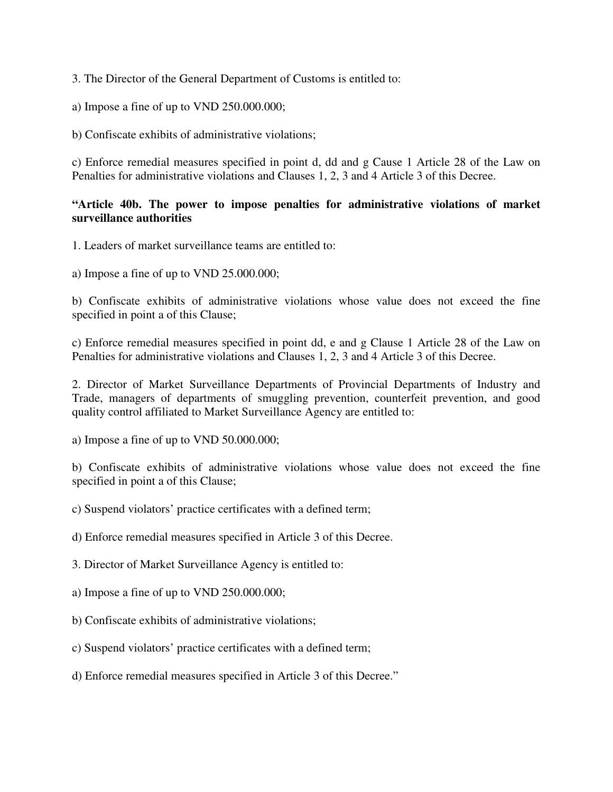3. The Director of the General Department of Customs is entitled to:

a) Impose a fine of up to VND 250.000.000;

b) Confiscate exhibits of administrative violations;

c) Enforce remedial measures specified in point d, dd and g Cause 1 Article 28 of the Law on Penalties for administrative violations and Clauses 1, 2, 3 and 4 Article 3 of this Decree.

## **"Article 40b. The power to impose penalties for administrative violations of market surveillance authorities**

1. Leaders of market surveillance teams are entitled to:

a) Impose a fine of up to VND 25.000.000;

b) Confiscate exhibits of administrative violations whose value does not exceed the fine specified in point a of this Clause;

c) Enforce remedial measures specified in point dd, e and g Clause 1 Article 28 of the Law on Penalties for administrative violations and Clauses 1, 2, 3 and 4 Article 3 of this Decree.

2. Director of Market Surveillance Departments of Provincial Departments of Industry and Trade, managers of departments of smuggling prevention, counterfeit prevention, and good quality control affiliated to Market Surveillance Agency are entitled to:

a) Impose a fine of up to VND 50.000.000;

b) Confiscate exhibits of administrative violations whose value does not exceed the fine specified in point a of this Clause;

c) Suspend violators' practice certificates with a defined term;

d) Enforce remedial measures specified in Article 3 of this Decree.

3. Director of Market Surveillance Agency is entitled to:

a) Impose a fine of up to VND 250.000.000;

b) Confiscate exhibits of administrative violations;

c) Suspend violators' practice certificates with a defined term;

d) Enforce remedial measures specified in Article 3 of this Decree."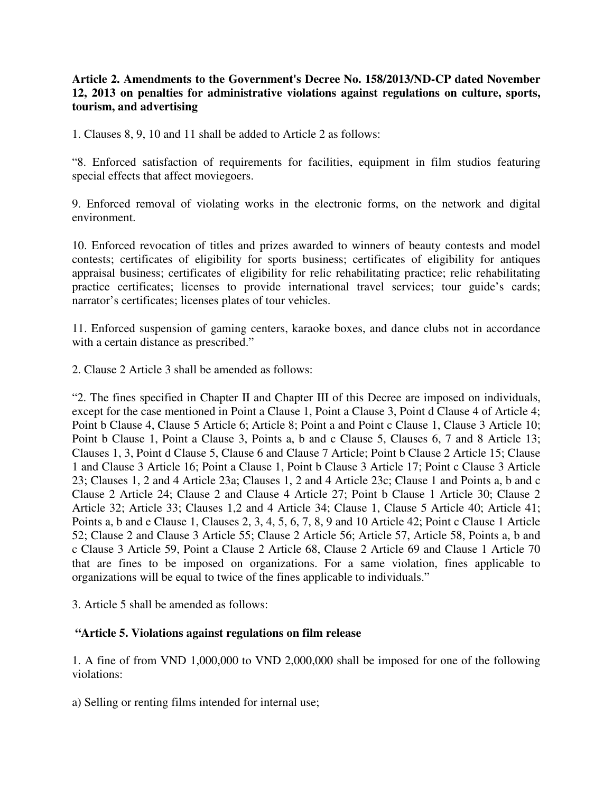## **Article 2. Amendments to the Government's Decree No. 158/2013/ND-CP dated November 12, 2013 on penalties for administrative violations against regulations on culture, sports, tourism, and advertising**

1. Clauses 8, 9, 10 and 11 shall be added to Article 2 as follows:

"8. Enforced satisfaction of requirements for facilities, equipment in film studios featuring special effects that affect moviegoers.

9. Enforced removal of violating works in the electronic forms, on the network and digital environment.

10. Enforced revocation of titles and prizes awarded to winners of beauty contests and model contests; certificates of eligibility for sports business; certificates of eligibility for antiques appraisal business; certificates of eligibility for relic rehabilitating practice; relic rehabilitating practice certificates; licenses to provide international travel services; tour guide's cards; narrator's certificates; licenses plates of tour vehicles.

11. Enforced suspension of gaming centers, karaoke boxes, and dance clubs not in accordance with a certain distance as prescribed."

2. Clause 2 Article 3 shall be amended as follows:

"2. The fines specified in Chapter II and Chapter III of this Decree are imposed on individuals, except for the case mentioned in Point a Clause 1, Point a Clause 3, Point d Clause 4 of Article 4; Point b Clause 4, Clause 5 Article 6; Article 8; Point a and Point c Clause 1, Clause 3 Article 10; Point b Clause 1, Point a Clause 3, Points a, b and c Clause 5, Clauses 6, 7 and 8 Article 13; Clauses 1, 3, Point d Clause 5, Clause 6 and Clause 7 Article; Point b Clause 2 Article 15; Clause 1 and Clause 3 Article 16; Point a Clause 1, Point b Clause 3 Article 17; Point c Clause 3 Article 23; Clauses 1, 2 and 4 Article 23a; Clauses 1, 2 and 4 Article 23c; Clause 1 and Points a, b and c Clause 2 Article 24; Clause 2 and Clause 4 Article 27; Point b Clause 1 Article 30; Clause 2 Article 32; Article 33; Clauses 1,2 and 4 Article 34; Clause 1, Clause 5 Article 40; Article 41; Points a, b and e Clause 1, Clauses 2, 3, 4, 5, 6, 7, 8, 9 and 10 Article 42; Point c Clause 1 Article 52; Clause 2 and Clause 3 Article 55; Clause 2 Article 56; Article 57, Article 58, Points a, b and c Clause 3 Article 59, Point a Clause 2 Article 68, Clause 2 Article 69 and Clause 1 Article 70 that are fines to be imposed on organizations. For a same violation, fines applicable to organizations will be equal to twice of the fines applicable to individuals."

3. Article 5 shall be amended as follows:

## **"Article 5. Violations against regulations on film release**

1. A fine of from VND 1,000,000 to VND 2,000,000 shall be imposed for one of the following violations:

a) Selling or renting films intended for internal use;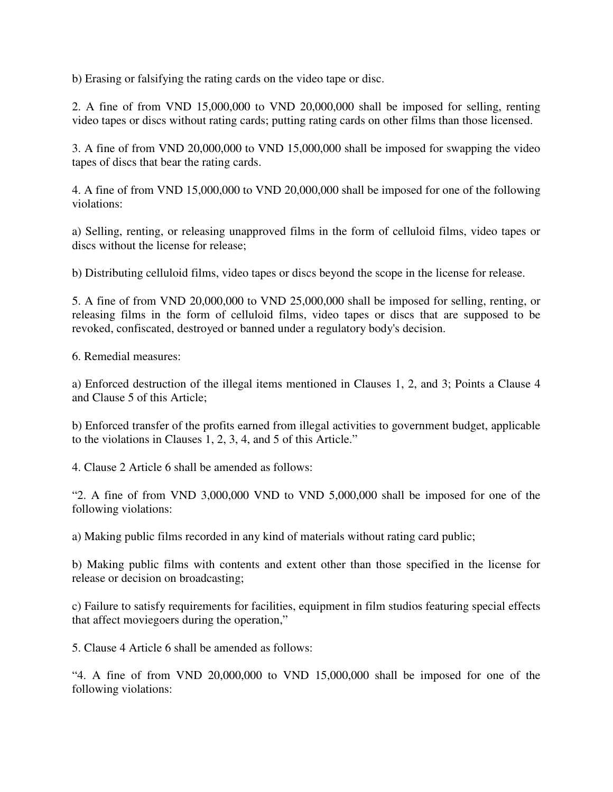b) Erasing or falsifying the rating cards on the video tape or disc.

2. A fine of from VND 15,000,000 to VND 20,000,000 shall be imposed for selling, renting video tapes or discs without rating cards; putting rating cards on other films than those licensed.

3. A fine of from VND 20,000,000 to VND 15,000,000 shall be imposed for swapping the video tapes of discs that bear the rating cards.

4. A fine of from VND 15,000,000 to VND 20,000,000 shall be imposed for one of the following violations:

a) Selling, renting, or releasing unapproved films in the form of celluloid films, video tapes or discs without the license for release;

b) Distributing celluloid films, video tapes or discs beyond the scope in the license for release.

5. A fine of from VND 20,000,000 to VND 25,000,000 shall be imposed for selling, renting, or releasing films in the form of celluloid films, video tapes or discs that are supposed to be revoked, confiscated, destroyed or banned under a regulatory body's decision.

6. Remedial measures:

a) Enforced destruction of the illegal items mentioned in Clauses 1, 2, and 3; Points a Clause 4 and Clause 5 of this Article;

b) Enforced transfer of the profits earned from illegal activities to government budget, applicable to the violations in Clauses 1, 2, 3, 4, and 5 of this Article."

4. Clause 2 Article 6 shall be amended as follows:

"2. A fine of from VND 3,000,000 VND to VND 5,000,000 shall be imposed for one of the following violations:

a) Making public films recorded in any kind of materials without rating card public;

b) Making public films with contents and extent other than those specified in the license for release or decision on broadcasting;

c) Failure to satisfy requirements for facilities, equipment in film studios featuring special effects that affect moviegoers during the operation,"

5. Clause 4 Article 6 shall be amended as follows:

"4. A fine of from VND 20,000,000 to VND 15,000,000 shall be imposed for one of the following violations: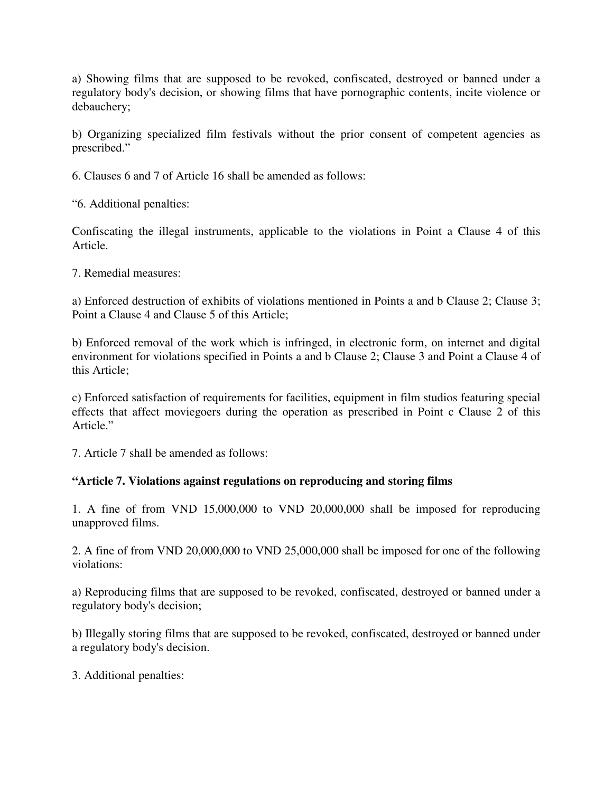a) Showing films that are supposed to be revoked, confiscated, destroyed or banned under a regulatory body's decision, or showing films that have pornographic contents, incite violence or debauchery;

b) Organizing specialized film festivals without the prior consent of competent agencies as prescribed."

6. Clauses 6 and 7 of Article 16 shall be amended as follows:

"6. Additional penalties:

Confiscating the illegal instruments, applicable to the violations in Point a Clause 4 of this Article.

7. Remedial measures:

a) Enforced destruction of exhibits of violations mentioned in Points a and b Clause 2; Clause 3; Point a Clause 4 and Clause 5 of this Article;

b) Enforced removal of the work which is infringed, in electronic form, on internet and digital environment for violations specified in Points a and b Clause 2; Clause 3 and Point a Clause 4 of this Article;

c) Enforced satisfaction of requirements for facilities, equipment in film studios featuring special effects that affect moviegoers during the operation as prescribed in Point c Clause 2 of this Article."

7. Article 7 shall be amended as follows:

## **"Article 7. Violations against regulations on reproducing and storing films**

1. A fine of from VND 15,000,000 to VND 20,000,000 shall be imposed for reproducing unapproved films.

2. A fine of from VND 20,000,000 to VND 25,000,000 shall be imposed for one of the following violations:

a) Reproducing films that are supposed to be revoked, confiscated, destroyed or banned under a regulatory body's decision;

b) Illegally storing films that are supposed to be revoked, confiscated, destroyed or banned under a regulatory body's decision.

3. Additional penalties: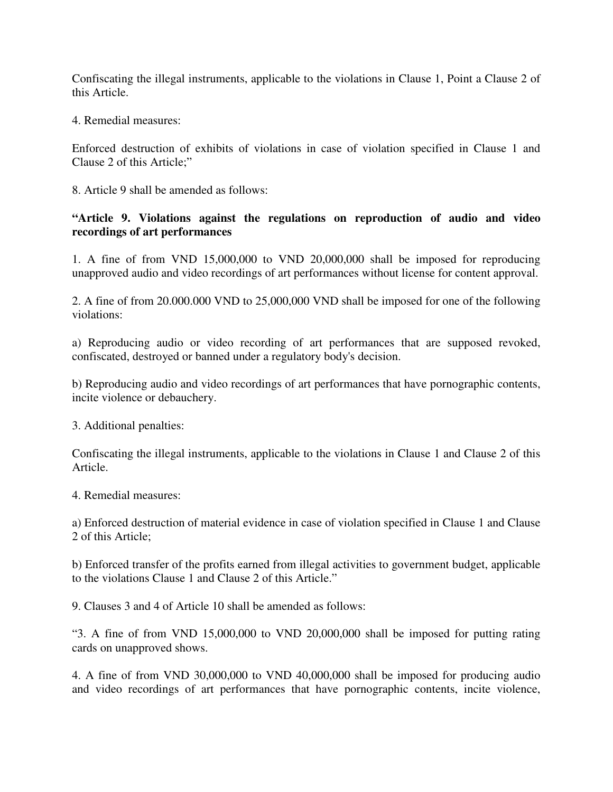Confiscating the illegal instruments, applicable to the violations in Clause 1, Point a Clause 2 of this Article.

4. Remedial measures:

Enforced destruction of exhibits of violations in case of violation specified in Clause 1 and Clause 2 of this Article;"

8. Article 9 shall be amended as follows:

### **"Article 9. Violations against the regulations on reproduction of audio and video recordings of art performances**

1. A fine of from VND 15,000,000 to VND 20,000,000 shall be imposed for reproducing unapproved audio and video recordings of art performances without license for content approval.

2. A fine of from 20.000.000 VND to 25,000,000 VND shall be imposed for one of the following violations:

a) Reproducing audio or video recording of art performances that are supposed revoked, confiscated, destroyed or banned under a regulatory body's decision.

b) Reproducing audio and video recordings of art performances that have pornographic contents, incite violence or debauchery.

3. Additional penalties:

Confiscating the illegal instruments, applicable to the violations in Clause 1 and Clause 2 of this Article.

4. Remedial measures:

a) Enforced destruction of material evidence in case of violation specified in Clause 1 and Clause 2 of this Article;

b) Enforced transfer of the profits earned from illegal activities to government budget, applicable to the violations Clause 1 and Clause 2 of this Article."

9. Clauses 3 and 4 of Article 10 shall be amended as follows:

"3. A fine of from VND 15,000,000 to VND 20,000,000 shall be imposed for putting rating cards on unapproved shows.

4. A fine of from VND 30,000,000 to VND 40,000,000 shall be imposed for producing audio and video recordings of art performances that have pornographic contents, incite violence,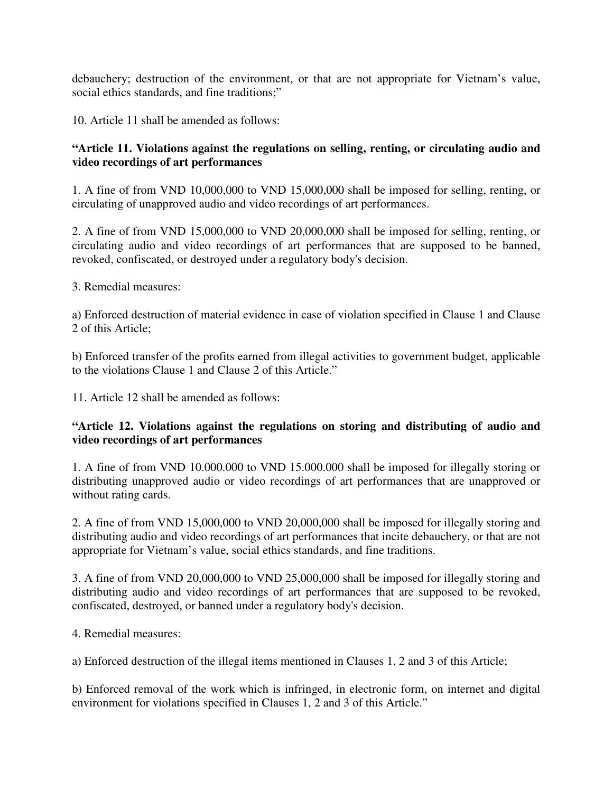debauchery; destruction of the environment, or that are not appropriate for Vietnam's value, social ethics standards, and fine traditions;"

10. Article 11 shall be amended as follows:

# **"Article 11. Violations against the regulations on selling, renting, or circulating audio and video recordings of art performances**

1. A fine of from VND 10,000,000 to VND 15,000,000 shall be imposed for selling, renting, or circulating of unapproved audio and video recordings of art performances.

2. A fine of from VND 15,000,000 to VND 20,000,000 shall be imposed for selling, renting, or circulating audio and video recordings of art performances that are supposed to be banned, revoked, confiscated, or destroyed under a regulatory body's decision.

3. Remedial measures:

a) Enforced destruction of material evidence in case of violation specified in Clause 1 and Clause 2 of this Article;

b) Enforced transfer of the profits earned from illegal activities to government budget, applicable to the violations Clause 1 and Clause 2 of this Article."

11. Article 12 shall be amended as follows:

# **"Article 12. Violations against the regulations on storing and distributing of audio and video recordings of art performances**

1. A fine of from VND 10.000.000 to VND 15.000.000 shall be imposed for illegally storing or distributing unapproved audio or video recordings of art performances that are unapproved or without rating cards.

2. A fine of from VND 15,000,000 to VND 20,000,000 shall be imposed for illegally storing and distributing audio and video recordings of art performances that incite debauchery, or that are not appropriate for Vietnam's value, social ethics standards, and fine traditions.

3. A fine of from VND 20,000,000 to VND 25,000,000 shall be imposed for illegally storing and distributing audio and video recordings of art performances that are supposed to be revoked, confiscated, destroyed, or banned under a regulatory body's decision.

4. Remedial measures:

a) Enforced destruction of the illegal items mentioned in Clauses 1, 2 and 3 of this Article;

b) Enforced removal of the work which is infringed, in electronic form, on internet and digital environment for violations specified in Clauses 1, 2 and 3 of this Article."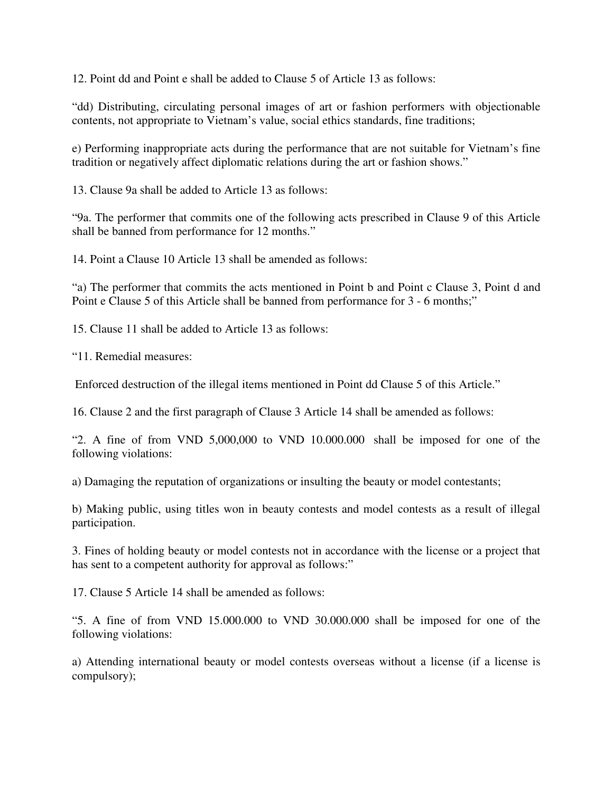12. Point dd and Point e shall be added to Clause 5 of Article 13 as follows:

"dd) Distributing, circulating personal images of art or fashion performers with objectionable contents, not appropriate to Vietnam's value, social ethics standards, fine traditions;

e) Performing inappropriate acts during the performance that are not suitable for Vietnam's fine tradition or negatively affect diplomatic relations during the art or fashion shows."

13. Clause 9a shall be added to Article 13 as follows:

"9a. The performer that commits one of the following acts prescribed in Clause 9 of this Article shall be banned from performance for 12 months."

14. Point a Clause 10 Article 13 shall be amended as follows:

"a) The performer that commits the acts mentioned in Point b and Point c Clause 3, Point d and Point e Clause 5 of this Article shall be banned from performance for 3 - 6 months;"

15. Clause 11 shall be added to Article 13 as follows:

"11. Remedial measures:

Enforced destruction of the illegal items mentioned in Point dd Clause 5 of this Article."

16. Clause 2 and the first paragraph of Clause 3 Article 14 shall be amended as follows:

"2. A fine of from VND 5,000,000 to VND 10.000.000 shall be imposed for one of the following violations:

a) Damaging the reputation of organizations or insulting the beauty or model contestants;

b) Making public, using titles won in beauty contests and model contests as a result of illegal participation.

3. Fines of holding beauty or model contests not in accordance with the license or a project that has sent to a competent authority for approval as follows:"

17. Clause 5 Article 14 shall be amended as follows:

"5. A fine of from VND 15.000.000 to VND 30.000.000 shall be imposed for one of the following violations:

a) Attending international beauty or model contests overseas without a license (if a license is compulsory);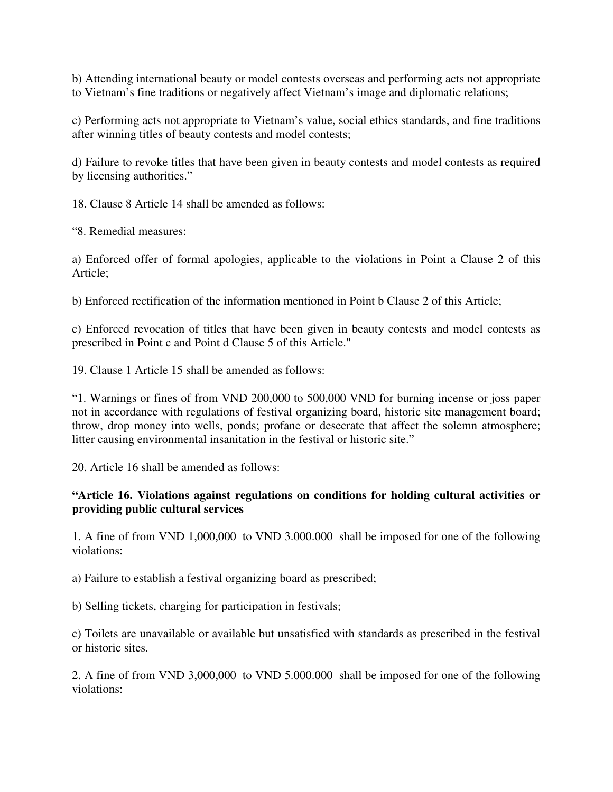b) Attending international beauty or model contests overseas and performing acts not appropriate to Vietnam's fine traditions or negatively affect Vietnam's image and diplomatic relations;

c) Performing acts not appropriate to Vietnam's value, social ethics standards, and fine traditions after winning titles of beauty contests and model contests;

d) Failure to revoke titles that have been given in beauty contests and model contests as required by licensing authorities."

18. Clause 8 Article 14 shall be amended as follows:

"8. Remedial measures:

a) Enforced offer of formal apologies, applicable to the violations in Point a Clause 2 of this Article;

b) Enforced rectification of the information mentioned in Point b Clause 2 of this Article;

c) Enforced revocation of titles that have been given in beauty contests and model contests as prescribed in Point c and Point d Clause 5 of this Article."

19. Clause 1 Article 15 shall be amended as follows:

"1. Warnings or fines of from VND 200,000 to 500,000 VND for burning incense or joss paper not in accordance with regulations of festival organizing board, historic site management board; throw, drop money into wells, ponds; profane or desecrate that affect the solemn atmosphere; litter causing environmental insanitation in the festival or historic site."

20. Article 16 shall be amended as follows:

### **"Article 16. Violations against regulations on conditions for holding cultural activities or providing public cultural services**

1. A fine of from VND 1,000,000 to VND 3.000.000 shall be imposed for one of the following violations:

a) Failure to establish a festival organizing board as prescribed;

b) Selling tickets, charging for participation in festivals;

c) Toilets are unavailable or available but unsatisfied with standards as prescribed in the festival or historic sites.

2. A fine of from VND 3,000,000 to VND 5.000.000 shall be imposed for one of the following violations: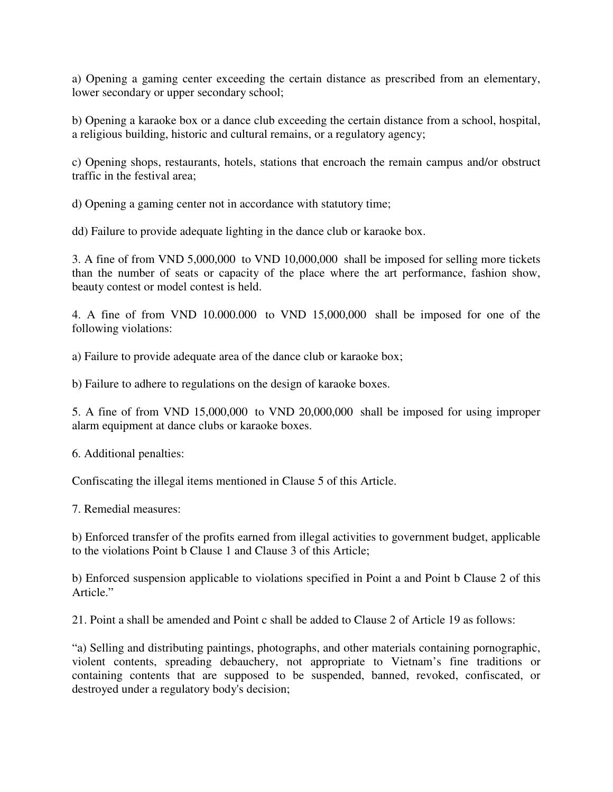a) Opening a gaming center exceeding the certain distance as prescribed from an elementary, lower secondary or upper secondary school;

b) Opening a karaoke box or a dance club exceeding the certain distance from a school, hospital, a religious building, historic and cultural remains, or a regulatory agency;

c) Opening shops, restaurants, hotels, stations that encroach the remain campus and/or obstruct traffic in the festival area;

d) Opening a gaming center not in accordance with statutory time;

dd) Failure to provide adequate lighting in the dance club or karaoke box.

3. A fine of from VND 5,000,000 to VND 10,000,000 shall be imposed for selling more tickets than the number of seats or capacity of the place where the art performance, fashion show, beauty contest or model contest is held.

4. A fine of from VND 10.000.000 to VND 15,000,000 shall be imposed for one of the following violations:

a) Failure to provide adequate area of the dance club or karaoke box;

b) Failure to adhere to regulations on the design of karaoke boxes.

5. A fine of from VND 15,000,000 to VND 20,000,000 shall be imposed for using improper alarm equipment at dance clubs or karaoke boxes.

6. Additional penalties:

Confiscating the illegal items mentioned in Clause 5 of this Article.

7. Remedial measures:

b) Enforced transfer of the profits earned from illegal activities to government budget, applicable to the violations Point b Clause 1 and Clause 3 of this Article;

b) Enforced suspension applicable to violations specified in Point a and Point b Clause 2 of this Article."

21. Point a shall be amended and Point c shall be added to Clause 2 of Article 19 as follows:

"a) Selling and distributing paintings, photographs, and other materials containing pornographic, violent contents, spreading debauchery, not appropriate to Vietnam's fine traditions or containing contents that are supposed to be suspended, banned, revoked, confiscated, or destroyed under a regulatory body's decision;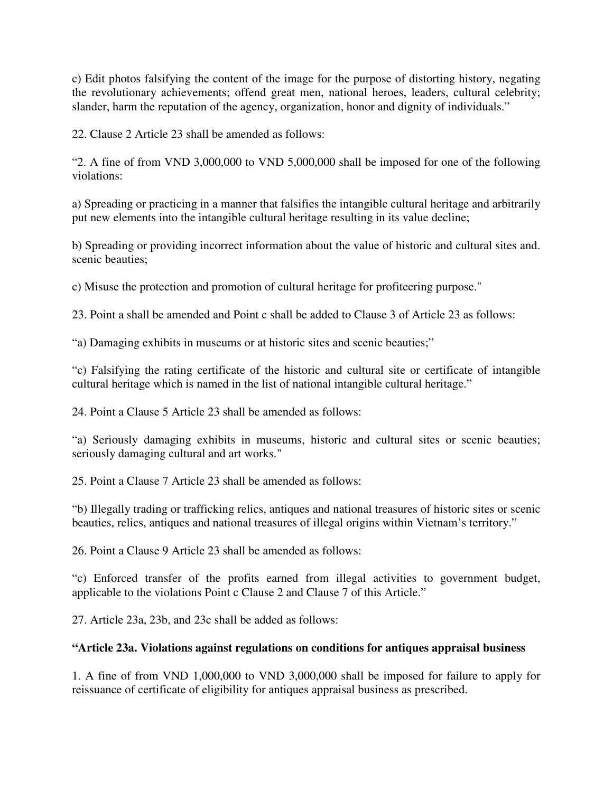c) Edit photos falsifying the content of the image for the purpose of distorting history, negating the revolutionary achievements; offend great men, national heroes, leaders, cultural celebrity; slander, harm the reputation of the agency, organization, honor and dignity of individuals."

22. Clause 2 Article 23 shall be amended as follows:

"2. A fine of from VND 3,000,000 to VND 5,000,000 shall be imposed for one of the following violations:

a) Spreading or practicing in a manner that falsifies the intangible cultural heritage and arbitrarily put new elements into the intangible cultural heritage resulting in its value decline;

b) Spreading or providing incorrect information about the value of historic and cultural sites and. scenic beauties;

c) Misuse the protection and promotion of cultural heritage for profiteering purpose."

23. Point a shall be amended and Point c shall be added to Clause 3 of Article 23 as follows:

"a) Damaging exhibits in museums or at historic sites and scenic beauties;"

"c) Falsifying the rating certificate of the historic and cultural site or certificate of intangible cultural heritage which is named in the list of national intangible cultural heritage."

24. Point a Clause 5 Article 23 shall be amended as follows:

"a) Seriously damaging exhibits in museums, historic and cultural sites or scenic beauties; seriously damaging cultural and art works."

25. Point a Clause 7 Article 23 shall be amended as follows:

"b) Illegally trading or trafficking relics, antiques and national treasures of historic sites or scenic beauties, relics, antiques and national treasures of illegal origins within Vietnam's territory."

26. Point a Clause 9 Article 23 shall be amended as follows:

"c) Enforced transfer of the profits earned from illegal activities to government budget, applicable to the violations Point c Clause 2 and Clause 7 of this Article."

27. Article 23a, 23b, and 23c shall be added as follows:

## **"Article 23a. Violations against regulations on conditions for antiques appraisal business**

1. A fine of from VND 1,000,000 to VND 3,000,000 shall be imposed for failure to apply for reissuance of certificate of eligibility for antiques appraisal business as prescribed.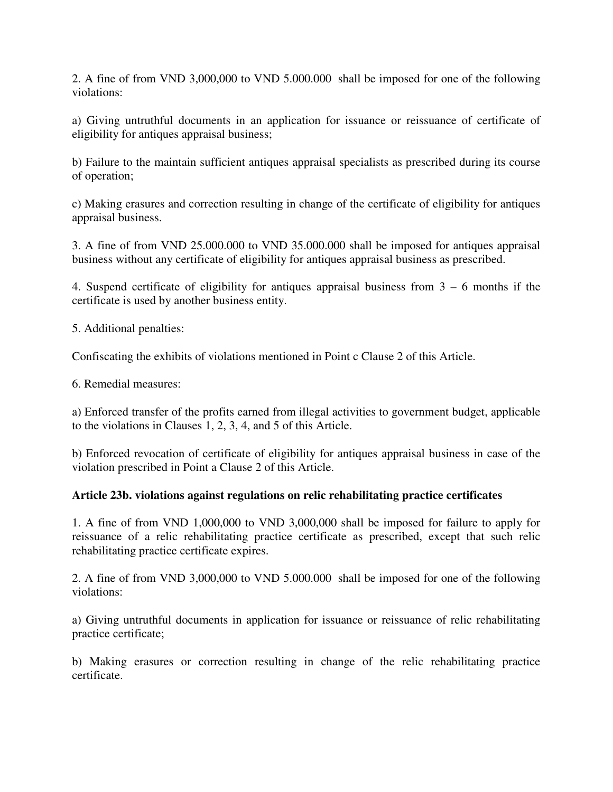2. A fine of from VND 3,000,000 to VND 5.000.000 shall be imposed for one of the following violations:

a) Giving untruthful documents in an application for issuance or reissuance of certificate of eligibility for antiques appraisal business;

b) Failure to the maintain sufficient antiques appraisal specialists as prescribed during its course of operation;

c) Making erasures and correction resulting in change of the certificate of eligibility for antiques appraisal business.

3. A fine of from VND 25.000.000 to VND 35.000.000 shall be imposed for antiques appraisal business without any certificate of eligibility for antiques appraisal business as prescribed.

4. Suspend certificate of eligibility for antiques appraisal business from 3 – 6 months if the certificate is used by another business entity.

5. Additional penalties:

Confiscating the exhibits of violations mentioned in Point c Clause 2 of this Article.

6. Remedial measures:

a) Enforced transfer of the profits earned from illegal activities to government budget, applicable to the violations in Clauses 1, 2, 3, 4, and 5 of this Article.

b) Enforced revocation of certificate of eligibility for antiques appraisal business in case of the violation prescribed in Point a Clause 2 of this Article.

#### **Article 23b. violations against regulations on relic rehabilitating practice certificates**

1. A fine of from VND 1,000,000 to VND 3,000,000 shall be imposed for failure to apply for reissuance of a relic rehabilitating practice certificate as prescribed, except that such relic rehabilitating practice certificate expires.

2. A fine of from VND 3,000,000 to VND 5.000.000 shall be imposed for one of the following violations:

a) Giving untruthful documents in application for issuance or reissuance of relic rehabilitating practice certificate;

b) Making erasures or correction resulting in change of the relic rehabilitating practice certificate.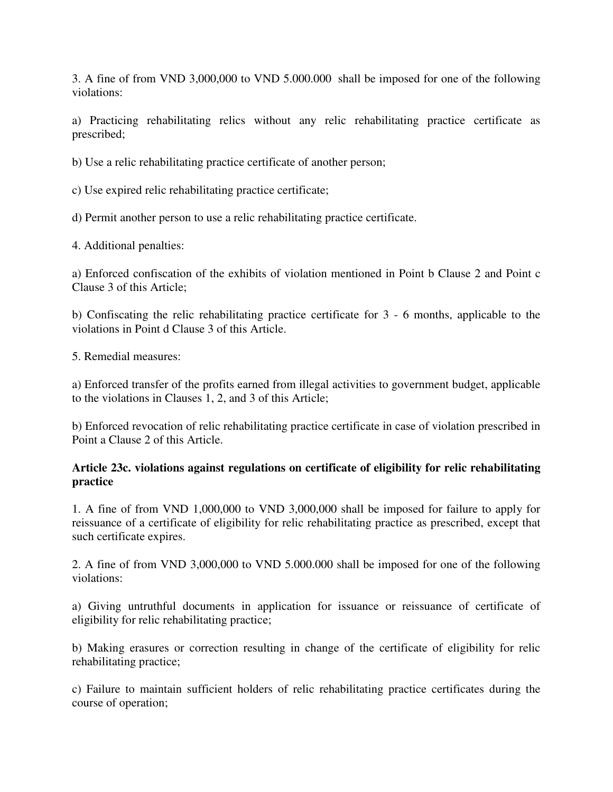3. A fine of from VND 3,000,000 to VND 5.000.000 shall be imposed for one of the following violations:

a) Practicing rehabilitating relics without any relic rehabilitating practice certificate as prescribed;

b) Use a relic rehabilitating practice certificate of another person;

c) Use expired relic rehabilitating practice certificate;

d) Permit another person to use a relic rehabilitating practice certificate.

4. Additional penalties:

a) Enforced confiscation of the exhibits of violation mentioned in Point b Clause 2 and Point c Clause 3 of this Article;

b) Confiscating the relic rehabilitating practice certificate for 3 - 6 months, applicable to the violations in Point d Clause 3 of this Article.

5. Remedial measures:

a) Enforced transfer of the profits earned from illegal activities to government budget, applicable to the violations in Clauses 1, 2, and 3 of this Article;

b) Enforced revocation of relic rehabilitating practice certificate in case of violation prescribed in Point a Clause 2 of this Article.

## **Article 23c. violations against regulations on certificate of eligibility for relic rehabilitating practice**

1. A fine of from VND 1,000,000 to VND 3,000,000 shall be imposed for failure to apply for reissuance of a certificate of eligibility for relic rehabilitating practice as prescribed, except that such certificate expires.

2. A fine of from VND 3,000,000 to VND 5.000.000 shall be imposed for one of the following violations:

a) Giving untruthful documents in application for issuance or reissuance of certificate of eligibility for relic rehabilitating practice;

b) Making erasures or correction resulting in change of the certificate of eligibility for relic rehabilitating practice;

c) Failure to maintain sufficient holders of relic rehabilitating practice certificates during the course of operation;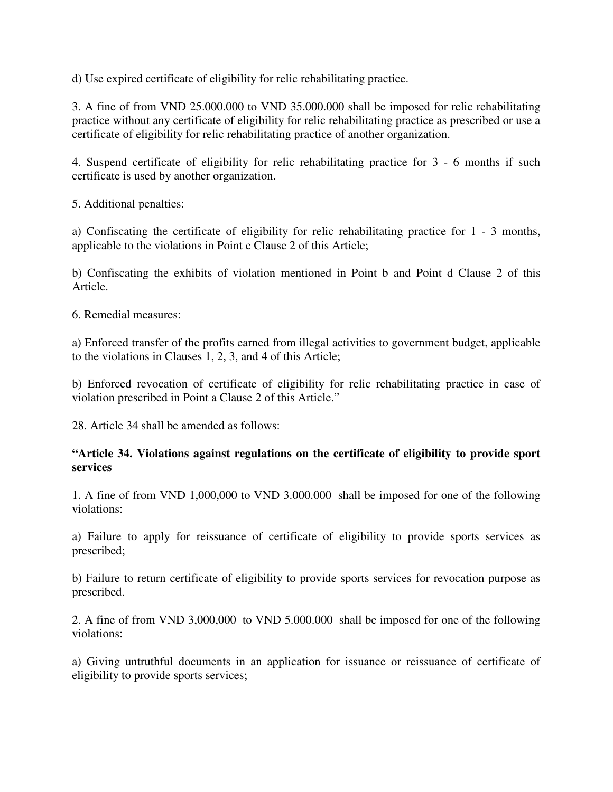d) Use expired certificate of eligibility for relic rehabilitating practice.

3. A fine of from VND 25.000.000 to VND 35.000.000 shall be imposed for relic rehabilitating practice without any certificate of eligibility for relic rehabilitating practice as prescribed or use a certificate of eligibility for relic rehabilitating practice of another organization.

4. Suspend certificate of eligibility for relic rehabilitating practice for 3 - 6 months if such certificate is used by another organization.

5. Additional penalties:

a) Confiscating the certificate of eligibility for relic rehabilitating practice for 1 - 3 months, applicable to the violations in Point c Clause 2 of this Article;

b) Confiscating the exhibits of violation mentioned in Point b and Point d Clause 2 of this Article.

6. Remedial measures:

a) Enforced transfer of the profits earned from illegal activities to government budget, applicable to the violations in Clauses 1, 2, 3, and 4 of this Article;

b) Enforced revocation of certificate of eligibility for relic rehabilitating practice in case of violation prescribed in Point a Clause 2 of this Article."

28. Article 34 shall be amended as follows:

### **"Article 34. Violations against regulations on the certificate of eligibility to provide sport services**

1. A fine of from VND 1,000,000 to VND 3.000.000 shall be imposed for one of the following violations:

a) Failure to apply for reissuance of certificate of eligibility to provide sports services as prescribed;

b) Failure to return certificate of eligibility to provide sports services for revocation purpose as prescribed.

2. A fine of from VND 3,000,000 to VND 5.000.000 shall be imposed for one of the following violations:

a) Giving untruthful documents in an application for issuance or reissuance of certificate of eligibility to provide sports services;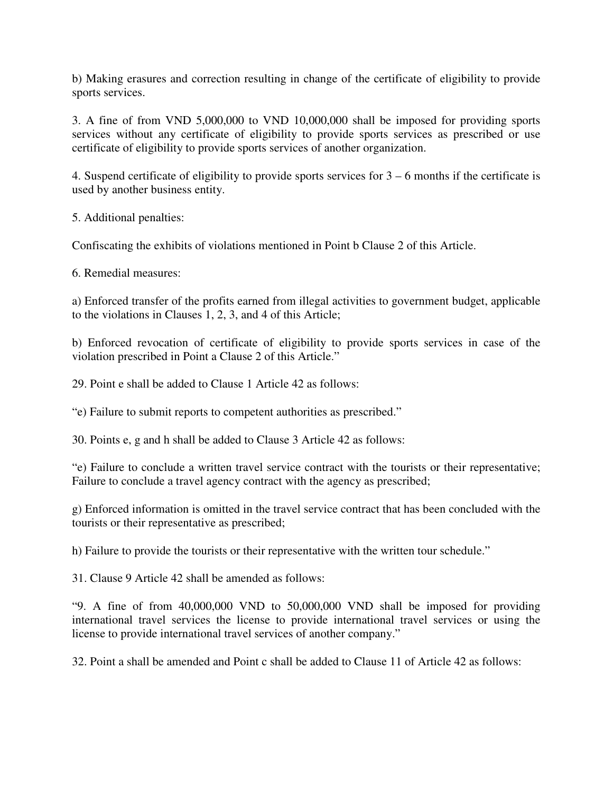b) Making erasures and correction resulting in change of the certificate of eligibility to provide sports services.

3. A fine of from VND 5,000,000 to VND 10,000,000 shall be imposed for providing sports services without any certificate of eligibility to provide sports services as prescribed or use certificate of eligibility to provide sports services of another organization.

4. Suspend certificate of eligibility to provide sports services for 3 – 6 months if the certificate is used by another business entity.

5. Additional penalties:

Confiscating the exhibits of violations mentioned in Point b Clause 2 of this Article.

6. Remedial measures:

a) Enforced transfer of the profits earned from illegal activities to government budget, applicable to the violations in Clauses 1, 2, 3, and 4 of this Article;

b) Enforced revocation of certificate of eligibility to provide sports services in case of the violation prescribed in Point a Clause 2 of this Article."

29. Point e shall be added to Clause 1 Article 42 as follows:

"e) Failure to submit reports to competent authorities as prescribed."

30. Points e, g and h shall be added to Clause 3 Article 42 as follows:

"e) Failure to conclude a written travel service contract with the tourists or their representative; Failure to conclude a travel agency contract with the agency as prescribed;

g) Enforced information is omitted in the travel service contract that has been concluded with the tourists or their representative as prescribed;

h) Failure to provide the tourists or their representative with the written tour schedule."

31. Clause 9 Article 42 shall be amended as follows:

"9. A fine of from 40,000,000 VND to 50,000,000 VND shall be imposed for providing international travel services the license to provide international travel services or using the license to provide international travel services of another company."

32. Point a shall be amended and Point c shall be added to Clause 11 of Article 42 as follows: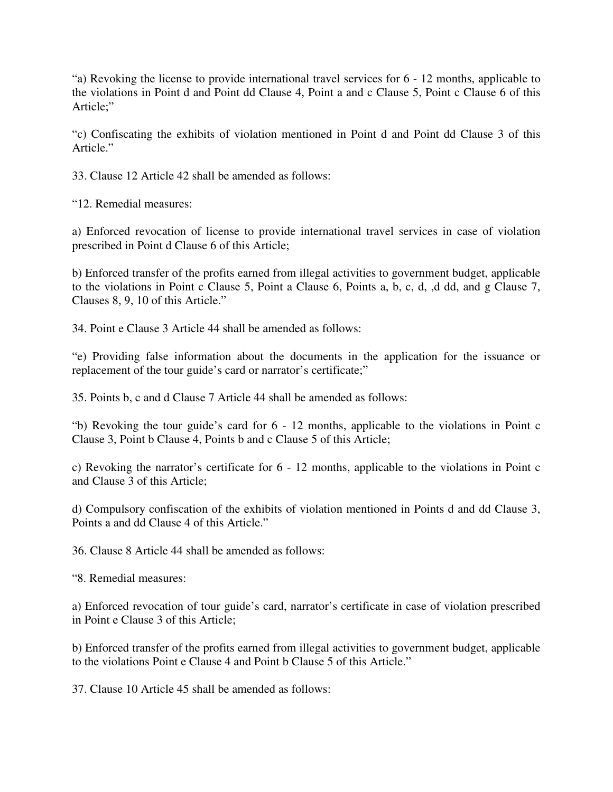"a) Revoking the license to provide international travel services for 6 - 12 months, applicable to the violations in Point d and Point dd Clause 4, Point a and c Clause 5, Point c Clause 6 of this Article;"

"c) Confiscating the exhibits of violation mentioned in Point d and Point dd Clause 3 of this Article."

33. Clause 12 Article 42 shall be amended as follows:

"12. Remedial measures:

a) Enforced revocation of license to provide international travel services in case of violation prescribed in Point d Clause 6 of this Article;

b) Enforced transfer of the profits earned from illegal activities to government budget, applicable to the violations in Point c Clause 5, Point a Clause 6, Points a, b, c, d, ,d dd, and g Clause 7, Clauses 8, 9, 10 of this Article."

34. Point e Clause 3 Article 44 shall be amended as follows:

"e) Providing false information about the documents in the application for the issuance or replacement of the tour guide's card or narrator's certificate;"

35. Points b, c and d Clause 7 Article 44 shall be amended as follows:

"b) Revoking the tour guide's card for 6 - 12 months, applicable to the violations in Point c Clause 3, Point b Clause 4, Points b and c Clause 5 of this Article;

c) Revoking the narrator's certificate for 6 - 12 months, applicable to the violations in Point c and Clause 3 of this Article;

d) Compulsory confiscation of the exhibits of violation mentioned in Points d and dd Clause 3, Points a and dd Clause 4 of this Article."

36. Clause 8 Article 44 shall be amended as follows:

"8. Remedial measures:

a) Enforced revocation of tour guide's card, narrator's certificate in case of violation prescribed in Point e Clause 3 of this Article;

b) Enforced transfer of the profits earned from illegal activities to government budget, applicable to the violations Point e Clause 4 and Point b Clause 5 of this Article."

37. Clause 10 Article 45 shall be amended as follows: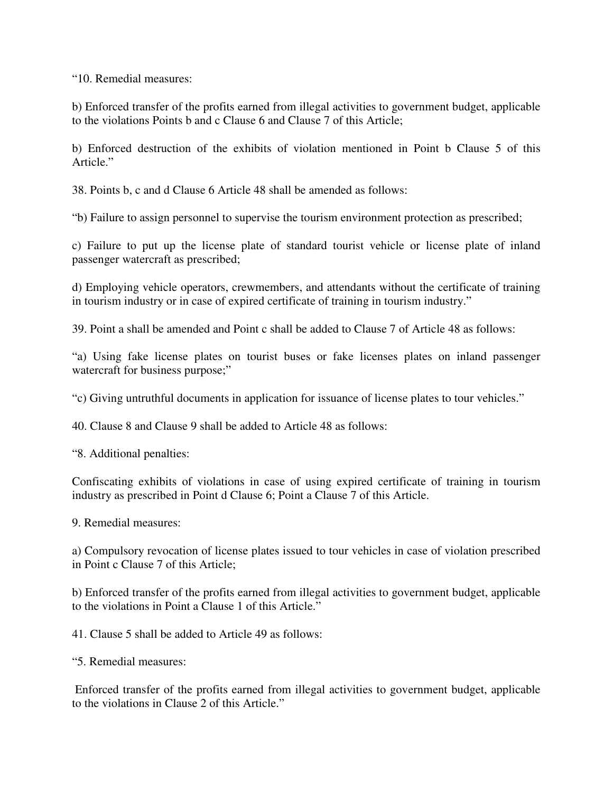"10. Remedial measures:

b) Enforced transfer of the profits earned from illegal activities to government budget, applicable to the violations Points b and c Clause 6 and Clause 7 of this Article;

b) Enforced destruction of the exhibits of violation mentioned in Point b Clause 5 of this Article."

38. Points b, c and d Clause 6 Article 48 shall be amended as follows:

"b) Failure to assign personnel to supervise the tourism environment protection as prescribed;

c) Failure to put up the license plate of standard tourist vehicle or license plate of inland passenger watercraft as prescribed;

d) Employing vehicle operators, crewmembers, and attendants without the certificate of training in tourism industry or in case of expired certificate of training in tourism industry."

39. Point a shall be amended and Point c shall be added to Clause 7 of Article 48 as follows:

"a) Using fake license plates on tourist buses or fake licenses plates on inland passenger watercraft for business purpose;"

"c) Giving untruthful documents in application for issuance of license plates to tour vehicles."

40. Clause 8 and Clause 9 shall be added to Article 48 as follows:

"8. Additional penalties:

Confiscating exhibits of violations in case of using expired certificate of training in tourism industry as prescribed in Point d Clause 6; Point a Clause 7 of this Article.

9. Remedial measures:

a) Compulsory revocation of license plates issued to tour vehicles in case of violation prescribed in Point c Clause 7 of this Article;

b) Enforced transfer of the profits earned from illegal activities to government budget, applicable to the violations in Point a Clause 1 of this Article."

41. Clause 5 shall be added to Article 49 as follows:

"5. Remedial measures:

 Enforced transfer of the profits earned from illegal activities to government budget, applicable to the violations in Clause 2 of this Article."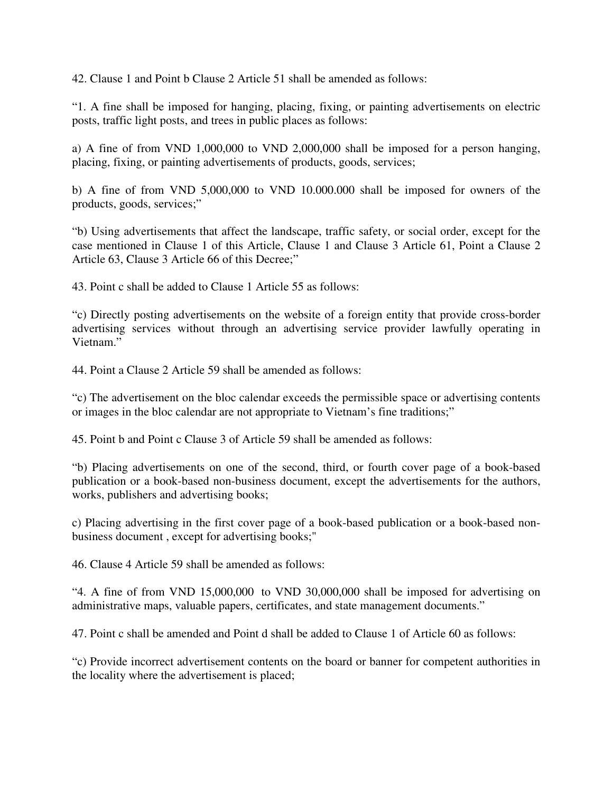42. Clause 1 and Point b Clause 2 Article 51 shall be amended as follows:

"1. A fine shall be imposed for hanging, placing, fixing, or painting advertisements on electric posts, traffic light posts, and trees in public places as follows:

a) A fine of from VND 1,000,000 to VND 2,000,000 shall be imposed for a person hanging, placing, fixing, or painting advertisements of products, goods, services;

b) A fine of from VND 5,000,000 to VND 10.000.000 shall be imposed for owners of the products, goods, services;"

"b) Using advertisements that affect the landscape, traffic safety, or social order, except for the case mentioned in Clause 1 of this Article, Clause 1 and Clause 3 Article 61, Point a Clause 2 Article 63, Clause 3 Article 66 of this Decree;"

43. Point c shall be added to Clause 1 Article 55 as follows:

"c) Directly posting advertisements on the website of a foreign entity that provide cross-border advertising services without through an advertising service provider lawfully operating in Vietnam."

44. Point a Clause 2 Article 59 shall be amended as follows:

"c) The advertisement on the bloc calendar exceeds the permissible space or advertising contents or images in the bloc calendar are not appropriate to Vietnam's fine traditions;"

45. Point b and Point c Clause 3 of Article 59 shall be amended as follows:

"b) Placing advertisements on one of the second, third, or fourth cover page of a book-based publication or a book-based non-business document, except the advertisements for the authors, works, publishers and advertising books;

c) Placing advertising in the first cover page of a book-based publication or a book-based nonbusiness document , except for advertising books;"

46. Clause 4 Article 59 shall be amended as follows:

"4. A fine of from VND 15,000,000 to VND 30,000,000 shall be imposed for advertising on administrative maps, valuable papers, certificates, and state management documents."

47. Point c shall be amended and Point d shall be added to Clause 1 of Article 60 as follows:

"c) Provide incorrect advertisement contents on the board or banner for competent authorities in the locality where the advertisement is placed;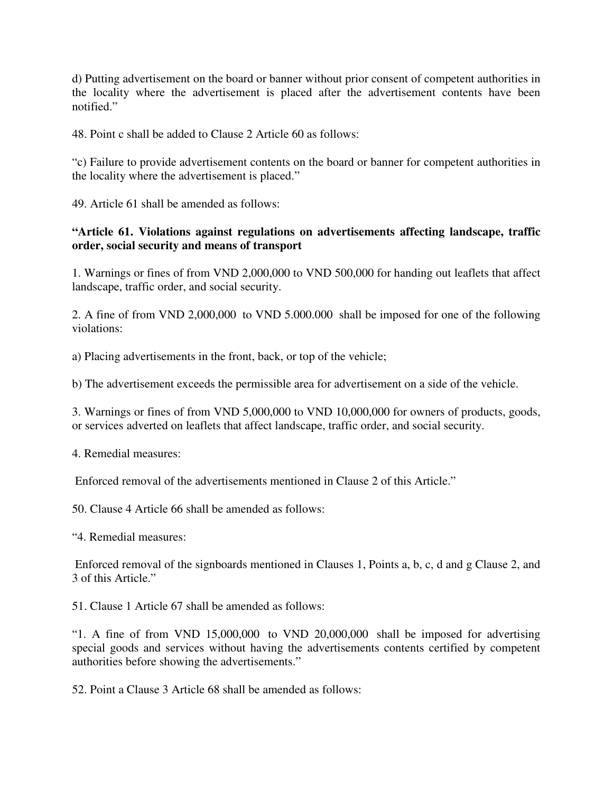d) Putting advertisement on the board or banner without prior consent of competent authorities in the locality where the advertisement is placed after the advertisement contents have been notified."

48. Point c shall be added to Clause 2 Article 60 as follows:

"c) Failure to provide advertisement contents on the board or banner for competent authorities in the locality where the advertisement is placed."

49. Article 61 shall be amended as follows:

# **"Article 61. Violations against regulations on advertisements affecting landscape, traffic order, social security and means of transport**

1. Warnings or fines of from VND 2,000,000 to VND 500,000 for handing out leaflets that affect landscape, traffic order, and social security.

2. A fine of from VND 2,000,000 to VND 5.000.000 shall be imposed for one of the following violations:

a) Placing advertisements in the front, back, or top of the vehicle;

b) The advertisement exceeds the permissible area for advertisement on a side of the vehicle.

3. Warnings or fines of from VND 5,000,000 to VND 10,000,000 for owners of products, goods, or services adverted on leaflets that affect landscape, traffic order, and social security.

4. Remedial measures:

Enforced removal of the advertisements mentioned in Clause 2 of this Article."

50. Clause 4 Article 66 shall be amended as follows:

"4. Remedial measures:

 Enforced removal of the signboards mentioned in Clauses 1, Points a, b, c, d and g Clause 2, and 3 of this Article."

51. Clause 1 Article 67 shall be amended as follows:

"1. A fine of from VND 15,000,000 to VND 20,000,000 shall be imposed for advertising special goods and services without having the advertisements contents certified by competent authorities before showing the advertisements."

52. Point a Clause 3 Article 68 shall be amended as follows: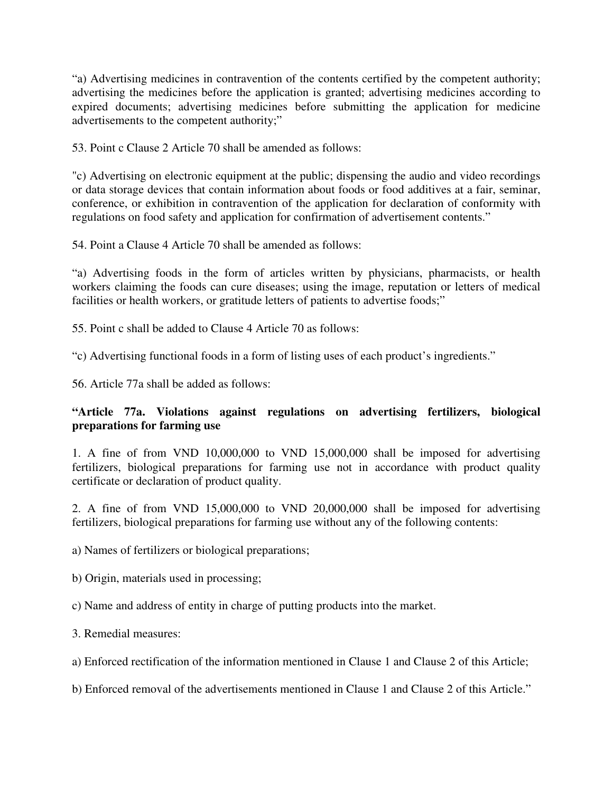"a) Advertising medicines in contravention of the contents certified by the competent authority; advertising the medicines before the application is granted; advertising medicines according to expired documents; advertising medicines before submitting the application for medicine advertisements to the competent authority;"

53. Point c Clause 2 Article 70 shall be amended as follows:

"c) Advertising on electronic equipment at the public; dispensing the audio and video recordings or data storage devices that contain information about foods or food additives at a fair, seminar, conference, or exhibition in contravention of the application for declaration of conformity with regulations on food safety and application for confirmation of advertisement contents."

54. Point a Clause 4 Article 70 shall be amended as follows:

"a) Advertising foods in the form of articles written by physicians, pharmacists, or health workers claiming the foods can cure diseases; using the image, reputation or letters of medical facilities or health workers, or gratitude letters of patients to advertise foods;"

55. Point c shall be added to Clause 4 Article 70 as follows:

"c) Advertising functional foods in a form of listing uses of each product's ingredients."

56. Article 77a shall be added as follows:

# **"Article 77a. Violations against regulations on advertising fertilizers, biological preparations for farming use**

1. A fine of from VND 10,000,000 to VND 15,000,000 shall be imposed for advertising fertilizers, biological preparations for farming use not in accordance with product quality certificate or declaration of product quality.

2. A fine of from VND 15,000,000 to VND 20,000,000 shall be imposed for advertising fertilizers, biological preparations for farming use without any of the following contents:

a) Names of fertilizers or biological preparations;

b) Origin, materials used in processing;

c) Name and address of entity in charge of putting products into the market.

3. Remedial measures:

a) Enforced rectification of the information mentioned in Clause 1 and Clause 2 of this Article;

b) Enforced removal of the advertisements mentioned in Clause 1 and Clause 2 of this Article."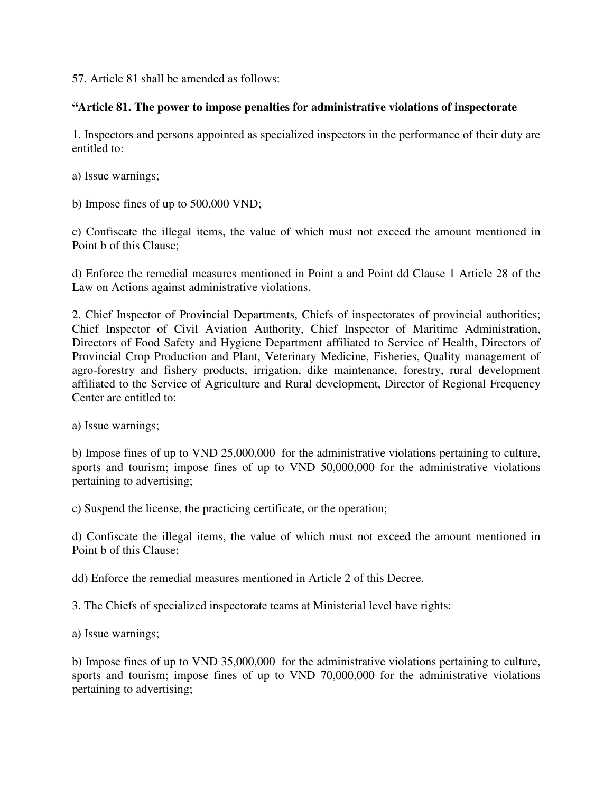57. Article 81 shall be amended as follows:

## **"Article 81. The power to impose penalties for administrative violations of inspectorate**

1. Inspectors and persons appointed as specialized inspectors in the performance of their duty are entitled to:

a) Issue warnings;

b) Impose fines of up to 500,000 VND;

c) Confiscate the illegal items, the value of which must not exceed the amount mentioned in Point b of this Clause;

d) Enforce the remedial measures mentioned in Point a and Point dd Clause 1 Article 28 of the Law on Actions against administrative violations.

2. Chief Inspector of Provincial Departments, Chiefs of inspectorates of provincial authorities; Chief Inspector of Civil Aviation Authority, Chief Inspector of Maritime Administration, Directors of Food Safety and Hygiene Department affiliated to Service of Health, Directors of Provincial Crop Production and Plant, Veterinary Medicine, Fisheries, Quality management of agro-forestry and fishery products, irrigation, dike maintenance, forestry, rural development affiliated to the Service of Agriculture and Rural development, Director of Regional Frequency Center are entitled to:

a) Issue warnings;

b) Impose fines of up to VND 25,000,000 for the administrative violations pertaining to culture, sports and tourism; impose fines of up to VND 50,000,000 for the administrative violations pertaining to advertising;

c) Suspend the license, the practicing certificate, or the operation;

d) Confiscate the illegal items, the value of which must not exceed the amount mentioned in Point b of this Clause;

dd) Enforce the remedial measures mentioned in Article 2 of this Decree.

3. The Chiefs of specialized inspectorate teams at Ministerial level have rights:

a) Issue warnings;

b) Impose fines of up to VND 35,000,000 for the administrative violations pertaining to culture, sports and tourism; impose fines of up to VND 70,000,000 for the administrative violations pertaining to advertising;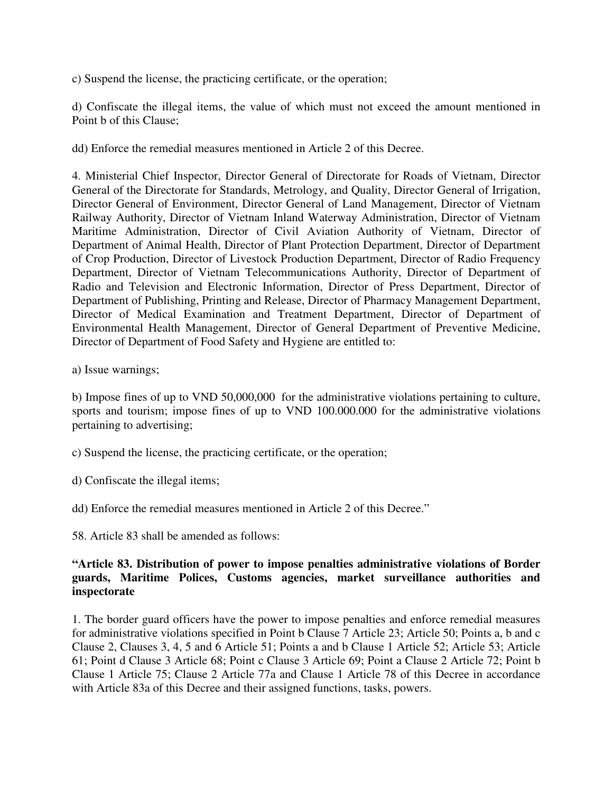c) Suspend the license, the practicing certificate, or the operation;

d) Confiscate the illegal items, the value of which must not exceed the amount mentioned in Point b of this Clause;

dd) Enforce the remedial measures mentioned in Article 2 of this Decree.

4. Ministerial Chief Inspector, Director General of Directorate for Roads of Vietnam, Director General of the Directorate for Standards, Metrology, and Quality, Director General of Irrigation, Director General of Environment, Director General of Land Management, Director of Vietnam Railway Authority, Director of Vietnam Inland Waterway Administration, Director of Vietnam Maritime Administration, Director of Civil Aviation Authority of Vietnam, Director of Department of Animal Health, Director of Plant Protection Department, Director of Department of Crop Production, Director of Livestock Production Department, Director of Radio Frequency Department, Director of Vietnam Telecommunications Authority, Director of Department of Radio and Television and Electronic Information, Director of Press Department, Director of Department of Publishing, Printing and Release, Director of Pharmacy Management Department, Director of Medical Examination and Treatment Department, Director of Department of Environmental Health Management, Director of General Department of Preventive Medicine, Director of Department of Food Safety and Hygiene are entitled to:

a) Issue warnings;

b) Impose fines of up to VND 50,000,000 for the administrative violations pertaining to culture, sports and tourism; impose fines of up to VND 100.000.000 for the administrative violations pertaining to advertising;

- c) Suspend the license, the practicing certificate, or the operation;
- d) Confiscate the illegal items;
- dd) Enforce the remedial measures mentioned in Article 2 of this Decree."

58. Article 83 shall be amended as follows:

### **"Article 83. Distribution of power to impose penalties administrative violations of Border guards, Maritime Polices, Customs agencies, market surveillance authorities and inspectorate**

1. The border guard officers have the power to impose penalties and enforce remedial measures for administrative violations specified in Point b Clause 7 Article 23; Article 50; Points a, b and c Clause 2, Clauses 3, 4, 5 and 6 Article 51; Points a and b Clause 1 Article 52; Article 53; Article 61; Point d Clause 3 Article 68; Point c Clause 3 Article 69; Point a Clause 2 Article 72; Point b Clause 1 Article 75; Clause 2 Article 77a and Clause 1 Article 78 of this Decree in accordance with Article 83a of this Decree and their assigned functions, tasks, powers.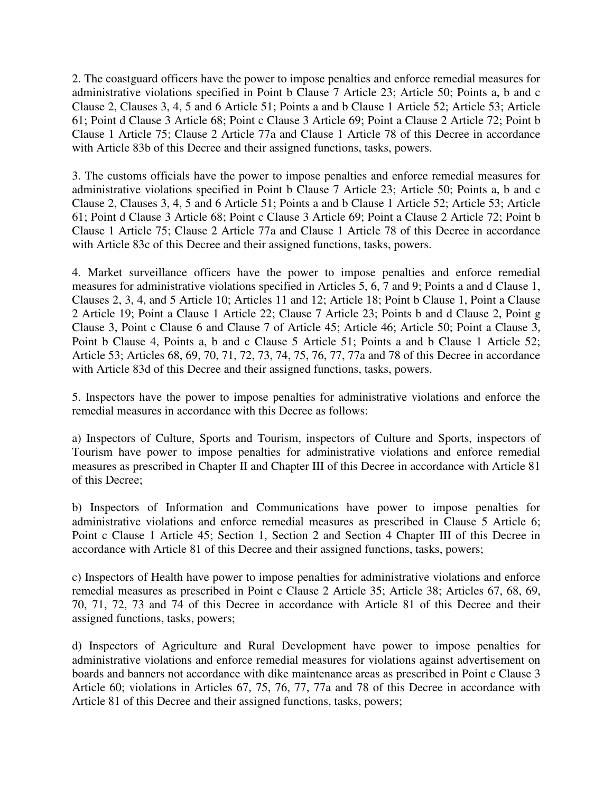2. The coastguard officers have the power to impose penalties and enforce remedial measures for administrative violations specified in Point b Clause 7 Article 23; Article 50; Points a, b and c Clause 2, Clauses 3, 4, 5 and 6 Article 51; Points a and b Clause 1 Article 52; Article 53; Article 61; Point d Clause 3 Article 68; Point c Clause 3 Article 69; Point a Clause 2 Article 72; Point b Clause 1 Article 75; Clause 2 Article 77a and Clause 1 Article 78 of this Decree in accordance with Article 83b of this Decree and their assigned functions, tasks, powers.

3. The customs officials have the power to impose penalties and enforce remedial measures for administrative violations specified in Point b Clause 7 Article 23; Article 50; Points a, b and c Clause 2, Clauses 3, 4, 5 and 6 Article 51; Points a and b Clause 1 Article 52; Article 53; Article 61; Point d Clause 3 Article 68; Point c Clause 3 Article 69; Point a Clause 2 Article 72; Point b Clause 1 Article 75; Clause 2 Article 77a and Clause 1 Article 78 of this Decree in accordance with Article 83c of this Decree and their assigned functions, tasks, powers.

4. Market surveillance officers have the power to impose penalties and enforce remedial measures for administrative violations specified in Articles 5, 6, 7 and 9; Points a and d Clause 1, Clauses 2, 3, 4, and 5 Article 10; Articles 11 and 12; Article 18; Point b Clause 1, Point a Clause 2 Article 19; Point a Clause 1 Article 22; Clause 7 Article 23; Points b and d Clause 2, Point g Clause 3, Point c Clause 6 and Clause 7 of Article 45; Article 46; Article 50; Point a Clause 3, Point b Clause 4, Points a, b and c Clause 5 Article 51; Points a and b Clause 1 Article 52; Article 53; Articles 68, 69, 70, 71, 72, 73, 74, 75, 76, 77, 77a and 78 of this Decree in accordance with Article 83d of this Decree and their assigned functions, tasks, powers.

5. Inspectors have the power to impose penalties for administrative violations and enforce the remedial measures in accordance with this Decree as follows:

a) Inspectors of Culture, Sports and Tourism, inspectors of Culture and Sports, inspectors of Tourism have power to impose penalties for administrative violations and enforce remedial measures as prescribed in Chapter II and Chapter III of this Decree in accordance with Article 81 of this Decree;

b) Inspectors of Information and Communications have power to impose penalties for administrative violations and enforce remedial measures as prescribed in Clause 5 Article 6; Point c Clause 1 Article 45; Section 1, Section 2 and Section 4 Chapter III of this Decree in accordance with Article 81 of this Decree and their assigned functions, tasks, powers;

c) Inspectors of Health have power to impose penalties for administrative violations and enforce remedial measures as prescribed in Point c Clause 2 Article 35; Article 38; Articles 67, 68, 69, 70, 71, 72, 73 and 74 of this Decree in accordance with Article 81 of this Decree and their assigned functions, tasks, powers;

d) Inspectors of Agriculture and Rural Development have power to impose penalties for administrative violations and enforce remedial measures for violations against advertisement on boards and banners not accordance with dike maintenance areas as prescribed in Point c Clause 3 Article 60; violations in Articles 67, 75, 76, 77, 77a and 78 of this Decree in accordance with Article 81 of this Decree and their assigned functions, tasks, powers;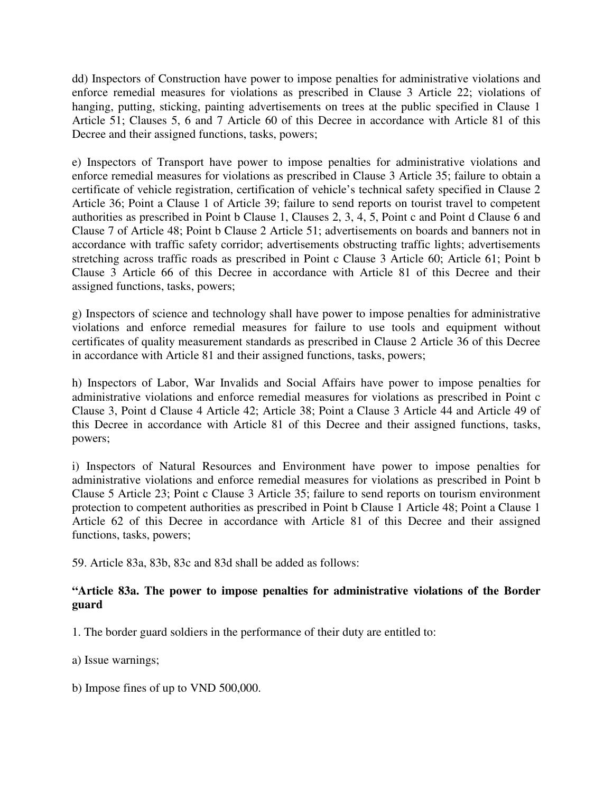dd) Inspectors of Construction have power to impose penalties for administrative violations and enforce remedial measures for violations as prescribed in Clause 3 Article 22; violations of hanging, putting, sticking, painting advertisements on trees at the public specified in Clause 1 Article 51; Clauses 5, 6 and 7 Article 60 of this Decree in accordance with Article 81 of this Decree and their assigned functions, tasks, powers;

e) Inspectors of Transport have power to impose penalties for administrative violations and enforce remedial measures for violations as prescribed in Clause 3 Article 35; failure to obtain a certificate of vehicle registration, certification of vehicle's technical safety specified in Clause 2 Article 36; Point a Clause 1 of Article 39; failure to send reports on tourist travel to competent authorities as prescribed in Point b Clause 1, Clauses 2, 3, 4, 5, Point c and Point d Clause 6 and Clause 7 of Article 48; Point b Clause 2 Article 51; advertisements on boards and banners not in accordance with traffic safety corridor; advertisements obstructing traffic lights; advertisements stretching across traffic roads as prescribed in Point c Clause 3 Article 60; Article 61; Point b Clause 3 Article 66 of this Decree in accordance with Article 81 of this Decree and their assigned functions, tasks, powers;

g) Inspectors of science and technology shall have power to impose penalties for administrative violations and enforce remedial measures for failure to use tools and equipment without certificates of quality measurement standards as prescribed in Clause 2 Article 36 of this Decree in accordance with Article 81 and their assigned functions, tasks, powers;

h) Inspectors of Labor, War Invalids and Social Affairs have power to impose penalties for administrative violations and enforce remedial measures for violations as prescribed in Point c Clause 3, Point d Clause 4 Article 42; Article 38; Point a Clause 3 Article 44 and Article 49 of this Decree in accordance with Article 81 of this Decree and their assigned functions, tasks, powers;

i) Inspectors of Natural Resources and Environment have power to impose penalties for administrative violations and enforce remedial measures for violations as prescribed in Point b Clause 5 Article 23; Point c Clause 3 Article 35; failure to send reports on tourism environment protection to competent authorities as prescribed in Point b Clause 1 Article 48; Point a Clause 1 Article 62 of this Decree in accordance with Article 81 of this Decree and their assigned functions, tasks, powers;

59. Article 83a, 83b, 83c and 83d shall be added as follows:

## **"Article 83a. The power to impose penalties for administrative violations of the Border guard**

1. The border guard soldiers in the performance of their duty are entitled to:

a) Issue warnings;

b) Impose fines of up to VND 500,000.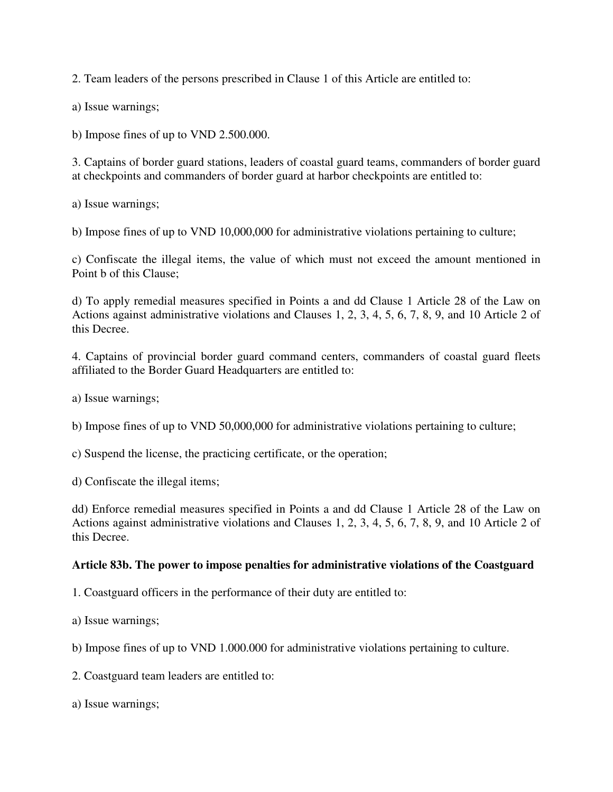2. Team leaders of the persons prescribed in Clause 1 of this Article are entitled to:

a) Issue warnings;

b) Impose fines of up to VND 2.500.000.

3. Captains of border guard stations, leaders of coastal guard teams, commanders of border guard at checkpoints and commanders of border guard at harbor checkpoints are entitled to:

a) Issue warnings;

b) Impose fines of up to VND 10,000,000 for administrative violations pertaining to culture;

c) Confiscate the illegal items, the value of which must not exceed the amount mentioned in Point b of this Clause;

d) To apply remedial measures specified in Points a and dd Clause 1 Article 28 of the Law on Actions against administrative violations and Clauses 1, 2, 3, 4, 5, 6, 7, 8, 9, and 10 Article 2 of this Decree.

4. Captains of provincial border guard command centers, commanders of coastal guard fleets affiliated to the Border Guard Headquarters are entitled to:

a) Issue warnings;

b) Impose fines of up to VND 50,000,000 for administrative violations pertaining to culture;

c) Suspend the license, the practicing certificate, or the operation;

d) Confiscate the illegal items;

dd) Enforce remedial measures specified in Points a and dd Clause 1 Article 28 of the Law on Actions against administrative violations and Clauses 1, 2, 3, 4, 5, 6, 7, 8, 9, and 10 Article 2 of this Decree.

#### **Article 83b. The power to impose penalties for administrative violations of the Coastguard**

1. Coastguard officers in the performance of their duty are entitled to:

a) Issue warnings;

b) Impose fines of up to VND 1.000.000 for administrative violations pertaining to culture.

2. Coastguard team leaders are entitled to:

a) Issue warnings;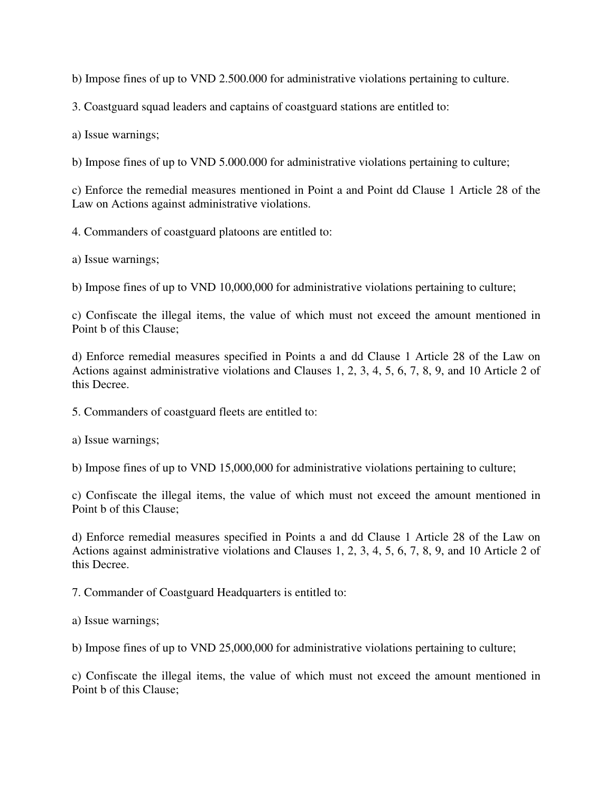b) Impose fines of up to VND 2.500.000 for administrative violations pertaining to culture.

3. Coastguard squad leaders and captains of coastguard stations are entitled to:

a) Issue warnings;

b) Impose fines of up to VND 5.000.000 for administrative violations pertaining to culture;

c) Enforce the remedial measures mentioned in Point a and Point dd Clause 1 Article 28 of the Law on Actions against administrative violations.

4. Commanders of coastguard platoons are entitled to:

a) Issue warnings;

b) Impose fines of up to VND 10,000,000 for administrative violations pertaining to culture;

c) Confiscate the illegal items, the value of which must not exceed the amount mentioned in Point b of this Clause;

d) Enforce remedial measures specified in Points a and dd Clause 1 Article 28 of the Law on Actions against administrative violations and Clauses 1, 2, 3, 4, 5, 6, 7, 8, 9, and 10 Article 2 of this Decree.

5. Commanders of coastguard fleets are entitled to:

a) Issue warnings;

b) Impose fines of up to VND 15,000,000 for administrative violations pertaining to culture;

c) Confiscate the illegal items, the value of which must not exceed the amount mentioned in Point b of this Clause;

d) Enforce remedial measures specified in Points a and dd Clause 1 Article 28 of the Law on Actions against administrative violations and Clauses 1, 2, 3, 4, 5, 6, 7, 8, 9, and 10 Article 2 of this Decree.

7. Commander of Coastguard Headquarters is entitled to:

a) Issue warnings;

b) Impose fines of up to VND 25,000,000 for administrative violations pertaining to culture;

c) Confiscate the illegal items, the value of which must not exceed the amount mentioned in Point b of this Clause;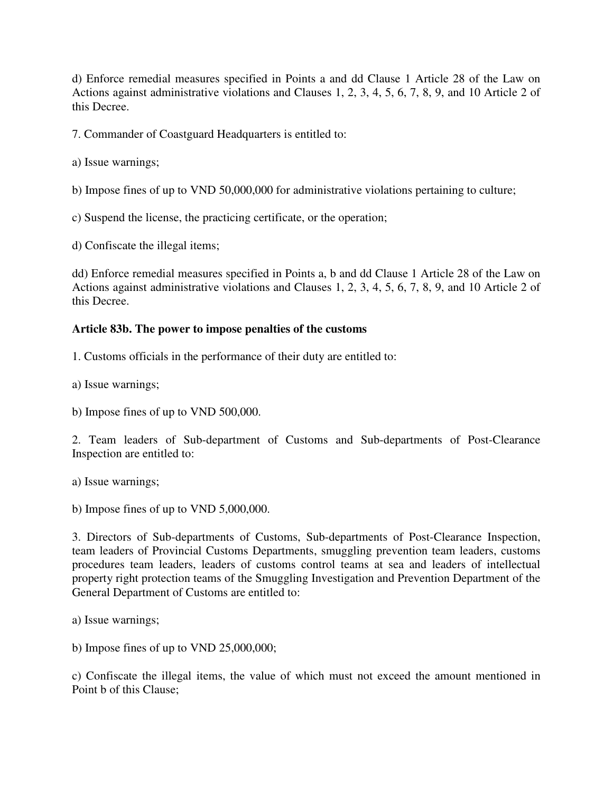d) Enforce remedial measures specified in Points a and dd Clause 1 Article 28 of the Law on Actions against administrative violations and Clauses 1, 2, 3, 4, 5, 6, 7, 8, 9, and 10 Article 2 of this Decree.

7. Commander of Coastguard Headquarters is entitled to:

a) Issue warnings;

b) Impose fines of up to VND 50,000,000 for administrative violations pertaining to culture;

c) Suspend the license, the practicing certificate, or the operation;

d) Confiscate the illegal items;

dd) Enforce remedial measures specified in Points a, b and dd Clause 1 Article 28 of the Law on Actions against administrative violations and Clauses 1, 2, 3, 4, 5, 6, 7, 8, 9, and 10 Article 2 of this Decree.

#### **Article 83b. The power to impose penalties of the customs**

1. Customs officials in the performance of their duty are entitled to:

a) Issue warnings;

b) Impose fines of up to VND 500,000.

2. Team leaders of Sub-department of Customs and Sub-departments of Post-Clearance Inspection are entitled to:

a) Issue warnings;

b) Impose fines of up to VND 5,000,000.

3. Directors of Sub-departments of Customs, Sub-departments of Post-Clearance Inspection, team leaders of Provincial Customs Departments, smuggling prevention team leaders, customs procedures team leaders, leaders of customs control teams at sea and leaders of intellectual property right protection teams of the Smuggling Investigation and Prevention Department of the General Department of Customs are entitled to:

a) Issue warnings;

b) Impose fines of up to VND 25,000,000;

c) Confiscate the illegal items, the value of which must not exceed the amount mentioned in Point b of this Clause;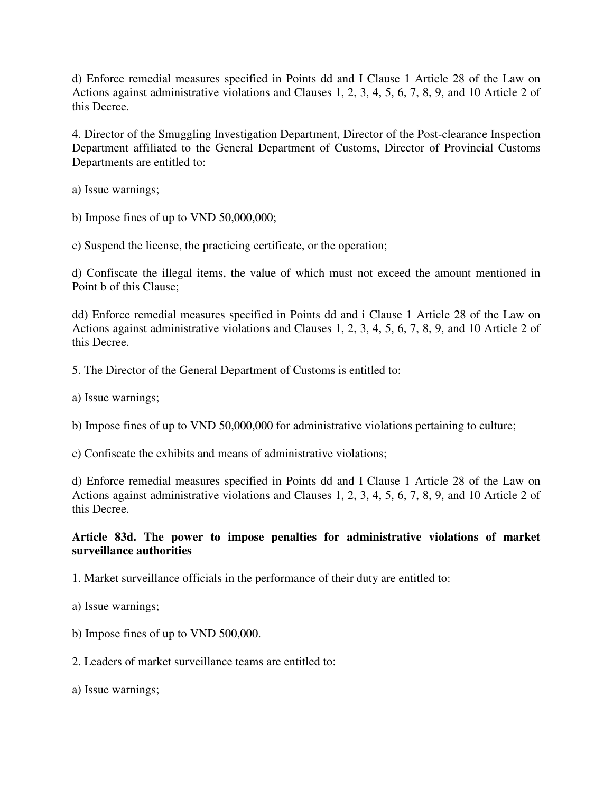d) Enforce remedial measures specified in Points dd and I Clause 1 Article 28 of the Law on Actions against administrative violations and Clauses 1, 2, 3, 4, 5, 6, 7, 8, 9, and 10 Article 2 of this Decree.

4. Director of the Smuggling Investigation Department, Director of the Post-clearance Inspection Department affiliated to the General Department of Customs, Director of Provincial Customs Departments are entitled to:

a) Issue warnings;

b) Impose fines of up to VND 50,000,000;

c) Suspend the license, the practicing certificate, or the operation;

d) Confiscate the illegal items, the value of which must not exceed the amount mentioned in Point b of this Clause;

dd) Enforce remedial measures specified in Points dd and i Clause 1 Article 28 of the Law on Actions against administrative violations and Clauses 1, 2, 3, 4, 5, 6, 7, 8, 9, and 10 Article 2 of this Decree.

5. The Director of the General Department of Customs is entitled to:

a) Issue warnings;

b) Impose fines of up to VND 50,000,000 for administrative violations pertaining to culture;

c) Confiscate the exhibits and means of administrative violations;

d) Enforce remedial measures specified in Points dd and I Clause 1 Article 28 of the Law on Actions against administrative violations and Clauses 1, 2, 3, 4, 5, 6, 7, 8, 9, and 10 Article 2 of this Decree.

## **Article 83d. The power to impose penalties for administrative violations of market surveillance authorities**

1. Market surveillance officials in the performance of their duty are entitled to:

- a) Issue warnings;
- b) Impose fines of up to VND 500,000.

2. Leaders of market surveillance teams are entitled to:

a) Issue warnings;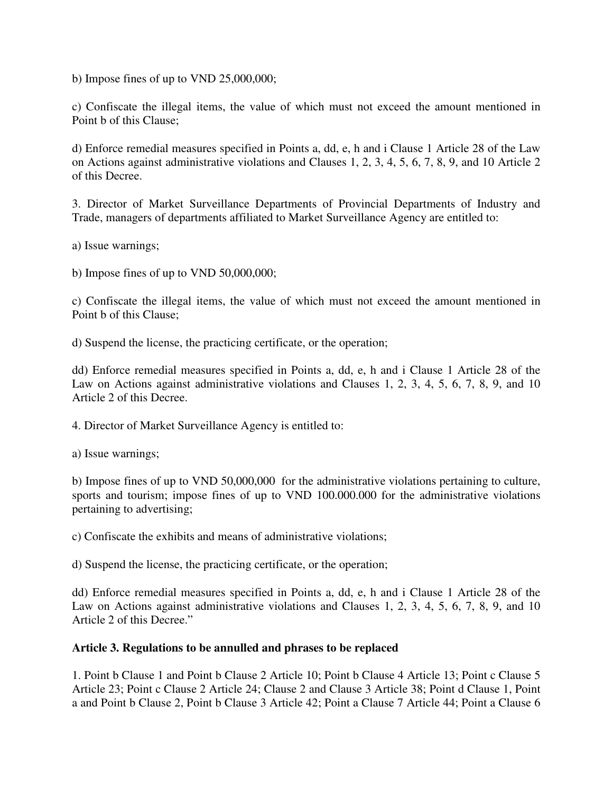b) Impose fines of up to VND 25,000,000;

c) Confiscate the illegal items, the value of which must not exceed the amount mentioned in Point b of this Clause;

d) Enforce remedial measures specified in Points a, dd, e, h and i Clause 1 Article 28 of the Law on Actions against administrative violations and Clauses 1, 2, 3, 4, 5, 6, 7, 8, 9, and 10 Article 2 of this Decree.

3. Director of Market Surveillance Departments of Provincial Departments of Industry and Trade, managers of departments affiliated to Market Surveillance Agency are entitled to:

a) Issue warnings;

b) Impose fines of up to VND 50,000,000;

c) Confiscate the illegal items, the value of which must not exceed the amount mentioned in Point b of this Clause;

d) Suspend the license, the practicing certificate, or the operation;

dd) Enforce remedial measures specified in Points a, dd, e, h and i Clause 1 Article 28 of the Law on Actions against administrative violations and Clauses 1, 2, 3, 4, 5, 6, 7, 8, 9, and 10 Article 2 of this Decree.

4. Director of Market Surveillance Agency is entitled to:

a) Issue warnings;

b) Impose fines of up to VND 50,000,000 for the administrative violations pertaining to culture, sports and tourism; impose fines of up to VND 100.000.000 for the administrative violations pertaining to advertising;

c) Confiscate the exhibits and means of administrative violations;

d) Suspend the license, the practicing certificate, or the operation;

dd) Enforce remedial measures specified in Points a, dd, e, h and i Clause 1 Article 28 of the Law on Actions against administrative violations and Clauses 1, 2, 3, 4, 5, 6, 7, 8, 9, and 10 Article 2 of this Decree."

#### **Article 3. Regulations to be annulled and phrases to be replaced**

1. Point b Clause 1 and Point b Clause 2 Article 10; Point b Clause 4 Article 13; Point c Clause 5 Article 23; Point c Clause 2 Article 24; Clause 2 and Clause 3 Article 38; Point d Clause 1, Point a and Point b Clause 2, Point b Clause 3 Article 42; Point a Clause 7 Article 44; Point a Clause 6